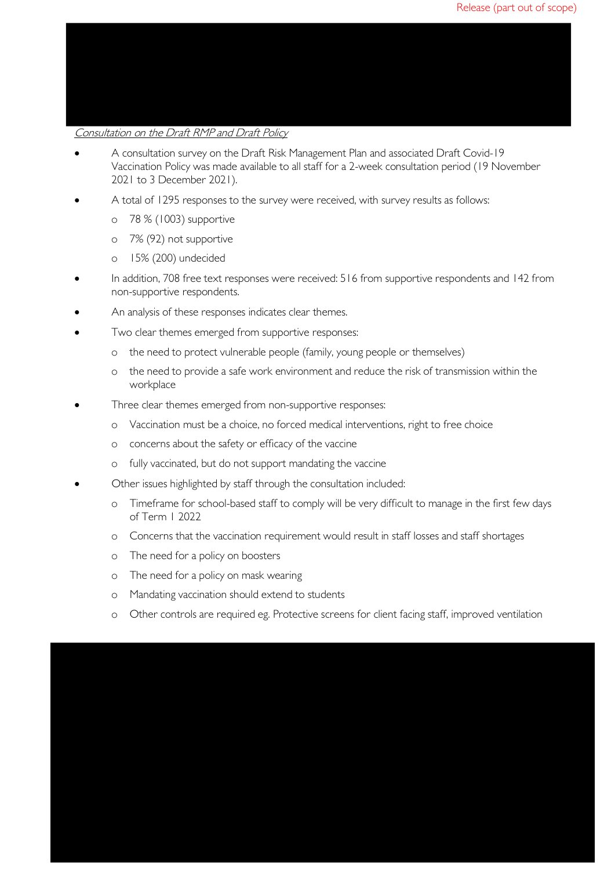## Consultation on the Draft RMP and Draft Policy

- A consultation survey on the Draft Risk Management Plan and associated Draft Covid-19 Vaccination Policy was made available to all staff for a 2-week consultation period (19 November 2021 to 3 December 2021).
- A total of 1295 responses to the survey were received, with survey results as follows:
	- o 78 % (1003) supportive
	- o 7% (92) not supportive
	- o 15% (200) undecided
- In addition, 708 free text responses were received: 516 from supportive respondents and 142 from non-supportive respondents.
- An analysis of these responses indicates clear themes.
- Two clear themes emerged from supportive responses:
	- o the need to protect vulnerable people (family, young people or themselves)
	- o the need to provide a safe work environment and reduce the risk of transmission within the workplace
- Three clear themes emerged from non-supportive responses:
	- o Vaccination must be a choice, no forced medical interventions, right to free choice
	- o concerns about the safety or efficacy of the vaccine
	- o fully vaccinated, but do not support mandating the vaccine
- Other issues highlighted by staff through the consultation included:
	- o Timeframe for school-based staff to comply will be very difficult to manage in the first few days of Term 1 2022
	- o Concerns that the vaccination requirement would result in staff losses and staff shortages
	- o The need for a policy on boosters
	- o The need for a policy on mask wearing
	- o Mandating vaccination should extend to students
	- o Other controls are required eg. Protective screens for client facing staff, improved ventilation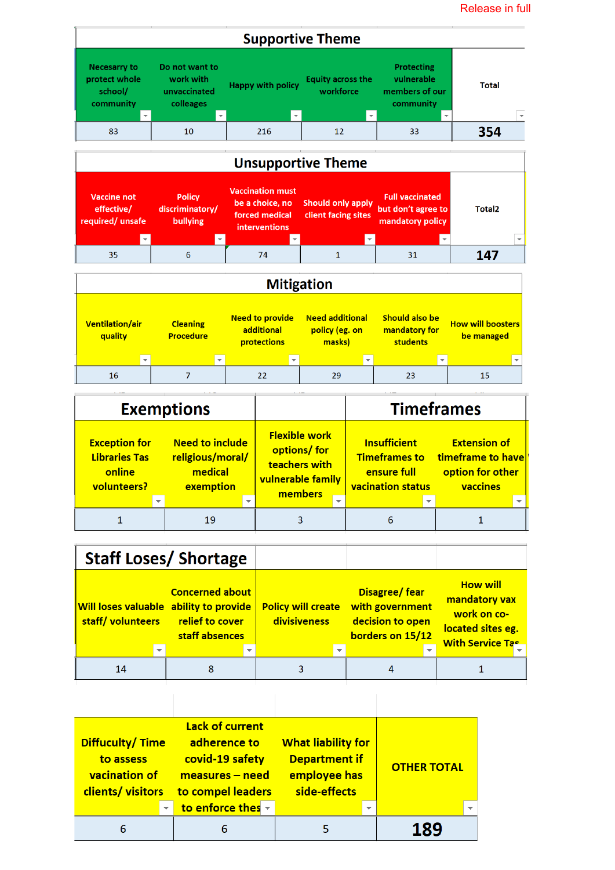

|                                                                       | <b>Exemptions</b>                                                  |   |                                                                                       |                          |                                                                                        | <b>Timeframes</b>                                                        |
|-----------------------------------------------------------------------|--------------------------------------------------------------------|---|---------------------------------------------------------------------------------------|--------------------------|----------------------------------------------------------------------------------------|--------------------------------------------------------------------------|
| <b>Exception for</b><br><b>Libraries Tas</b><br>online<br>volunteers? | <b>Need to include</b><br>religious/moral/<br>medical<br>exemption |   | <b>Flexible work</b><br>options/ for<br>teachers with<br>vulnerable family<br>members |                          | <b>Insufficient</b><br><b>Timeframes to</b><br>ensure full<br><b>vacination status</b> | <b>Extension of</b><br>timeframe to have<br>option for other<br>vaccines |
|                                                                       |                                                                    | ٠ |                                                                                       | $\overline{\phantom{a}}$ | $\overline{\phantom{0}}$                                                               |                                                                          |
|                                                                       | 19                                                                 |   |                                                                                       |                          |                                                                                        |                                                                          |

|                  |                          | <b>Staff Loses/ Shortage</b>                                                                                 |                          |                                           |                          |                                                                                 |                                                                                                 |
|------------------|--------------------------|--------------------------------------------------------------------------------------------------------------|--------------------------|-------------------------------------------|--------------------------|---------------------------------------------------------------------------------|-------------------------------------------------------------------------------------------------|
| staff/volunteers |                          | <b>Concerned about</b><br><b>Will loses valuable ability to provide</b><br>relief to cover<br>staff absences |                          | <b>Policy will create</b><br>divisiveness |                          | <b>Disagree/fear</b><br>with government<br>decision to open<br>borders on 15/12 | <b>How will</b><br>mandatory vax<br>work on co-<br>located sites eg.<br><b>With Service Tas</b> |
|                  | $\overline{\phantom{a}}$ |                                                                                                              | $\overline{\phantom{a}}$ |                                           | $\overline{\phantom{a}}$ | $\overline{\phantom{0}}$                                                        |                                                                                                 |
| 14               |                          | 8                                                                                                            |                          |                                           |                          |                                                                                 |                                                                                                 |

| Diffuculty/Time<br>to assess<br><b>vacination of</b><br>clients/visitors | Lack of current<br>adherence to<br>covid-19 safety<br>$measures - need$<br>to compel leaders | <b>What liability for</b><br><b>Department if</b><br>employee has<br>side-effects | <b>OTHER TOTAL</b> |
|--------------------------------------------------------------------------|----------------------------------------------------------------------------------------------|-----------------------------------------------------------------------------------|--------------------|
| $\overline{\phantom{0}}$                                                 | to enforce thes $\overline{\phantom{a}}$                                                     | $\overline{\phantom{0}}$                                                          | ┳                  |
| 6                                                                        |                                                                                              |                                                                                   |                    |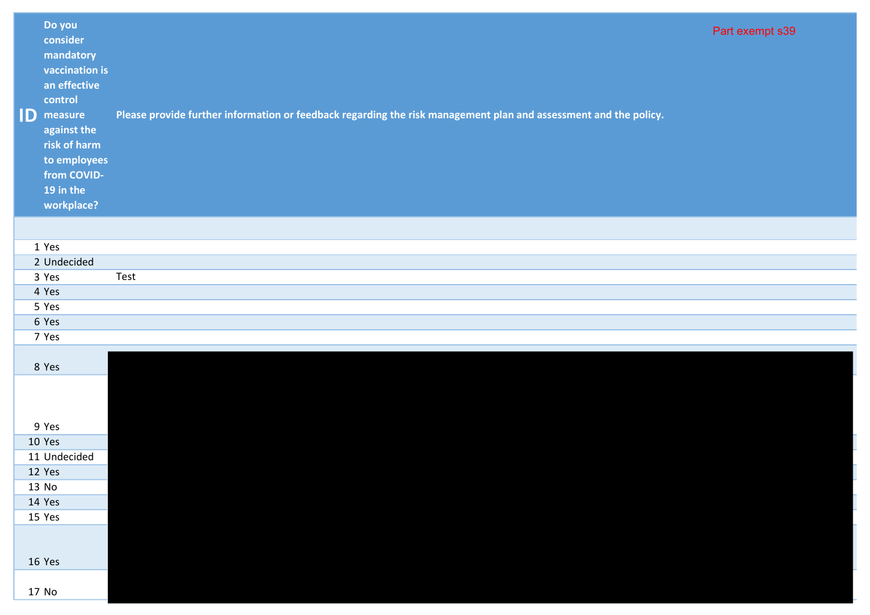| ID | Do you<br>consider<br>mandatory<br>vaccination is<br>an effective<br>control<br>measure<br>against the<br>risk of harm<br>to employees<br>from COVID-<br>19 in the<br>workplace? | Please provide further information or feedback regarding the risk management plan and assessment and the policy. | Part exempt s39 |
|----|----------------------------------------------------------------------------------------------------------------------------------------------------------------------------------|------------------------------------------------------------------------------------------------------------------|-----------------|
|    |                                                                                                                                                                                  |                                                                                                                  |                 |
|    | 1 Yes                                                                                                                                                                            |                                                                                                                  |                 |
|    | 2 Undecided                                                                                                                                                                      |                                                                                                                  |                 |
|    | 3 Yes                                                                                                                                                                            | Test                                                                                                             |                 |
|    | 4 Yes                                                                                                                                                                            |                                                                                                                  |                 |
|    | 5 Yes                                                                                                                                                                            |                                                                                                                  |                 |
|    | 6 Yes                                                                                                                                                                            |                                                                                                                  |                 |
|    | 7 Yes                                                                                                                                                                            |                                                                                                                  |                 |
|    | 8 Yes                                                                                                                                                                            |                                                                                                                  |                 |
|    | 9 Yes                                                                                                                                                                            |                                                                                                                  |                 |
|    | 10 Yes                                                                                                                                                                           |                                                                                                                  |                 |
|    | 11 Undecided                                                                                                                                                                     |                                                                                                                  |                 |
|    | 12 Yes                                                                                                                                                                           |                                                                                                                  |                 |
|    | 13 No                                                                                                                                                                            |                                                                                                                  |                 |
|    | 14 Yes                                                                                                                                                                           |                                                                                                                  |                 |
|    | 15 Yes                                                                                                                                                                           |                                                                                                                  |                 |
|    | 16 Yes                                                                                                                                                                           |                                                                                                                  |                 |
|    | 17 No                                                                                                                                                                            |                                                                                                                  |                 |
|    |                                                                                                                                                                                  |                                                                                                                  |                 |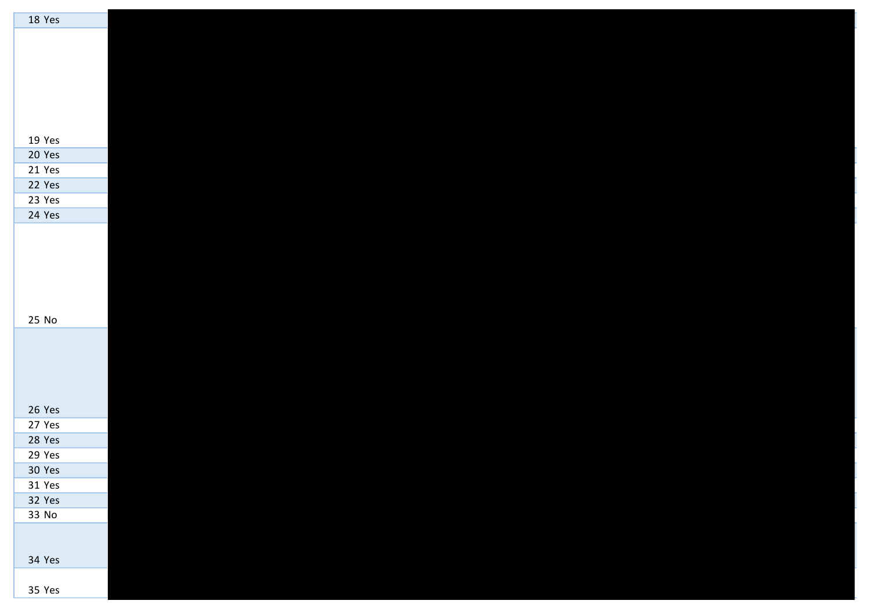| 18 Yes |  |  |  |  |
|--------|--|--|--|--|
|        |  |  |  |  |
|        |  |  |  |  |
|        |  |  |  |  |
|        |  |  |  |  |
|        |  |  |  |  |
|        |  |  |  |  |
|        |  |  |  |  |
|        |  |  |  |  |
| 19 Yes |  |  |  |  |
| 20 Yes |  |  |  |  |
| 21 Yes |  |  |  |  |
| 22 Yes |  |  |  |  |
| 23 Yes |  |  |  |  |
| 24 Yes |  |  |  |  |
|        |  |  |  |  |
|        |  |  |  |  |
|        |  |  |  |  |
|        |  |  |  |  |
|        |  |  |  |  |
|        |  |  |  |  |
| 25 No  |  |  |  |  |
|        |  |  |  |  |
|        |  |  |  |  |
|        |  |  |  |  |
|        |  |  |  |  |
|        |  |  |  |  |
|        |  |  |  |  |
| 26 Yes |  |  |  |  |
| 27 Yes |  |  |  |  |
| 28 Yes |  |  |  |  |
| 29 Yes |  |  |  |  |
| 30 Yes |  |  |  |  |
| 31 Yes |  |  |  |  |
| 32 Yes |  |  |  |  |
| 33 No  |  |  |  |  |
|        |  |  |  |  |
|        |  |  |  |  |
| 34 Yes |  |  |  |  |
|        |  |  |  |  |
| 35 Yes |  |  |  |  |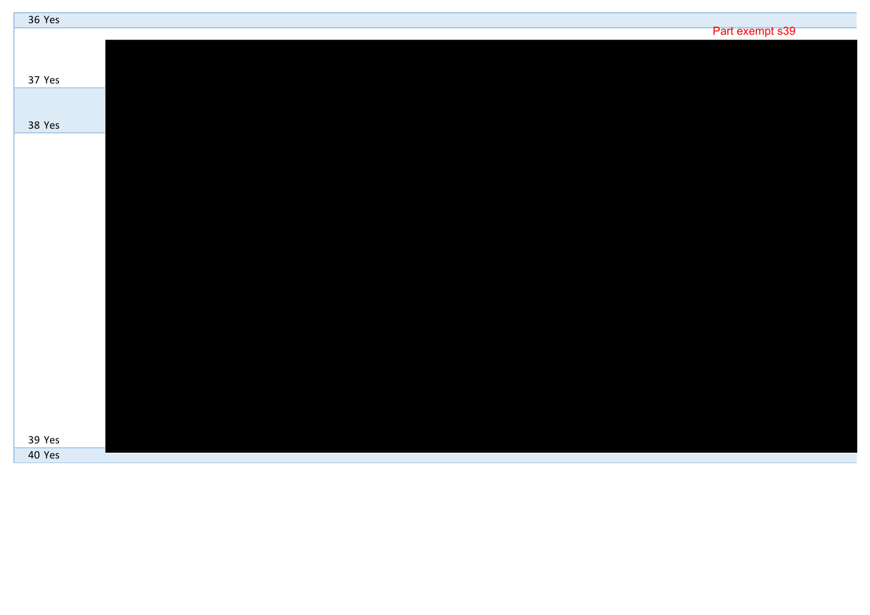| 36 Yes |                 |
|--------|-----------------|
|        | Part exempt s39 |
|        |                 |
|        |                 |
| 37 Yes |                 |
|        |                 |
|        |                 |
| 38 Yes |                 |
|        |                 |
|        |                 |
|        |                 |
|        |                 |
|        |                 |
|        |                 |
|        |                 |
|        |                 |
|        |                 |
|        |                 |
|        |                 |
|        |                 |
|        |                 |
|        |                 |
|        |                 |
|        |                 |
|        |                 |
|        |                 |
|        |                 |
| 39 Yes |                 |
| 40 Yes |                 |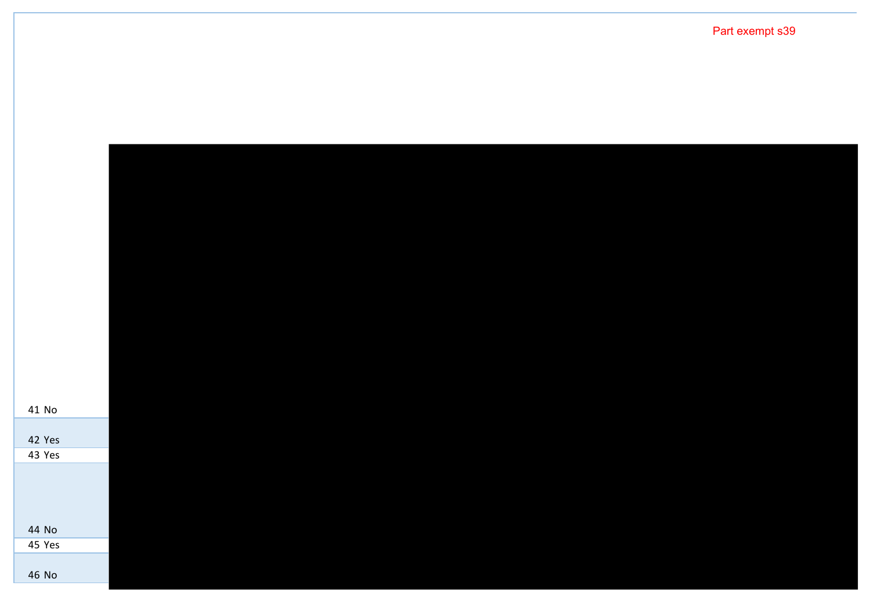| 41 No  |  |  |  |
|--------|--|--|--|
| 42 Yes |  |  |  |
| 43 Yes |  |  |  |
|        |  |  |  |
| 44 No  |  |  |  |
| 45 Yes |  |  |  |
| 46 No  |  |  |  |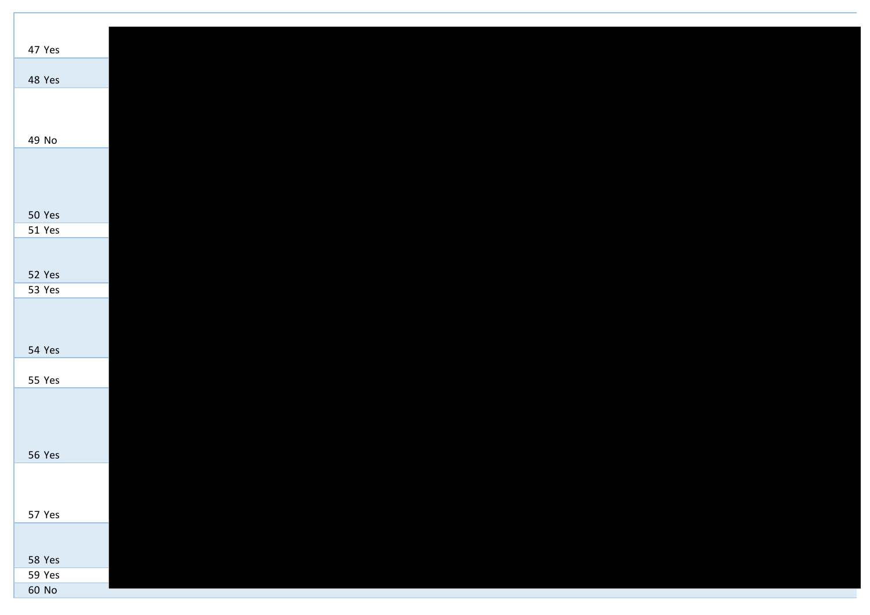| 47 Yes        |  |  |  |  |
|---------------|--|--|--|--|
| 48 Yes        |  |  |  |  |
|               |  |  |  |  |
|               |  |  |  |  |
| 49 No         |  |  |  |  |
|               |  |  |  |  |
|               |  |  |  |  |
|               |  |  |  |  |
| 50 Yes        |  |  |  |  |
| 51 Yes        |  |  |  |  |
|               |  |  |  |  |
|               |  |  |  |  |
| 52 Yes        |  |  |  |  |
| 53 Yes        |  |  |  |  |
|               |  |  |  |  |
|               |  |  |  |  |
| 54 Yes        |  |  |  |  |
| 55 Yes        |  |  |  |  |
|               |  |  |  |  |
|               |  |  |  |  |
|               |  |  |  |  |
|               |  |  |  |  |
| <b>56 Yes</b> |  |  |  |  |
|               |  |  |  |  |
|               |  |  |  |  |
| 57 Yes        |  |  |  |  |
|               |  |  |  |  |
| 58 Yes        |  |  |  |  |
| 59 Yes        |  |  |  |  |
| 60 No         |  |  |  |  |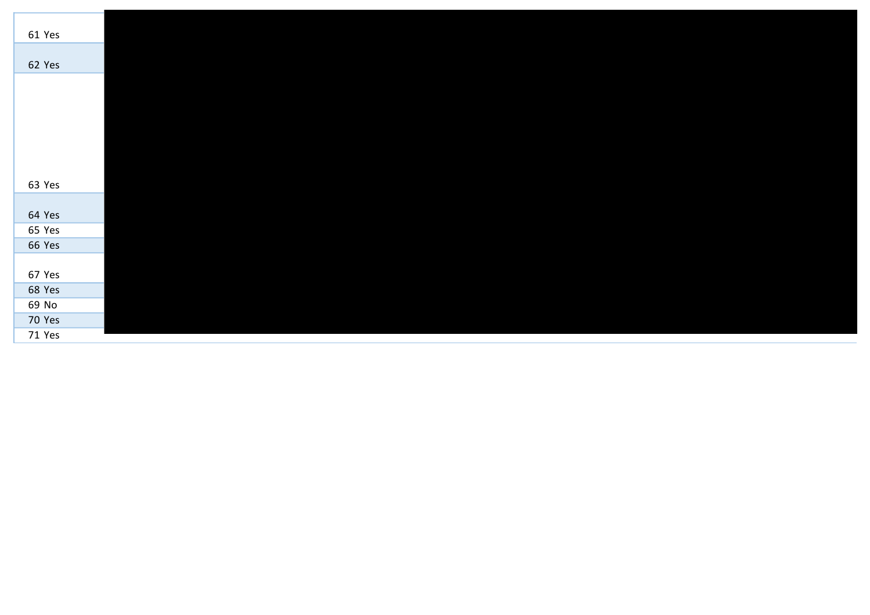| 61 Yes |  |  |  |
|--------|--|--|--|
| 62 Yes |  |  |  |
|        |  |  |  |
|        |  |  |  |
|        |  |  |  |
|        |  |  |  |
|        |  |  |  |
|        |  |  |  |
|        |  |  |  |
| 63 Yes |  |  |  |
|        |  |  |  |
| 64 Yes |  |  |  |
| 65 Yes |  |  |  |
| 66 Yes |  |  |  |
|        |  |  |  |
| 67 Yes |  |  |  |
| 68 Yes |  |  |  |
| 69 No  |  |  |  |
| 70 Yes |  |  |  |
| 71 Yes |  |  |  |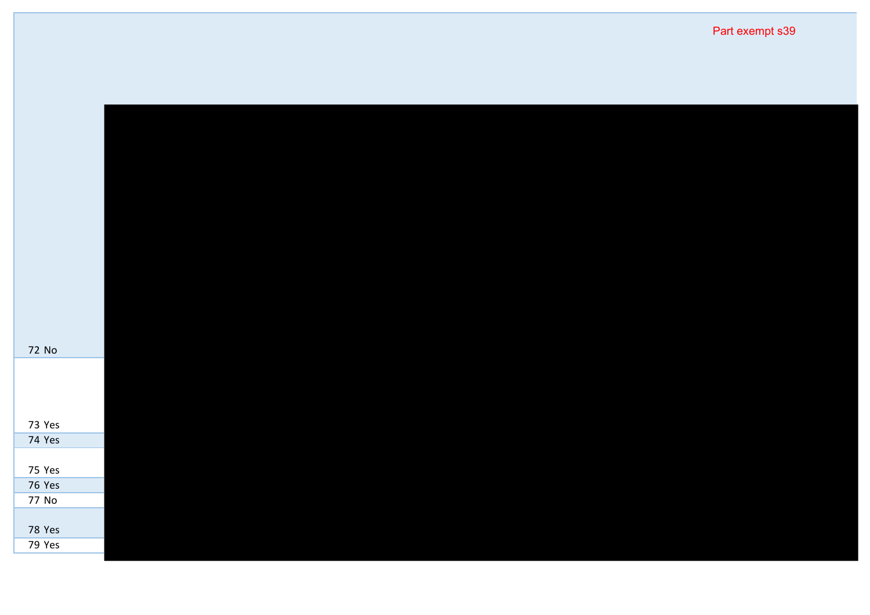| 72 No                   |  |  |  |
|-------------------------|--|--|--|
|                         |  |  |  |
|                         |  |  |  |
|                         |  |  |  |
| 73 Yes                  |  |  |  |
| 74 Yes                  |  |  |  |
|                         |  |  |  |
| 75 Yes                  |  |  |  |
|                         |  |  |  |
| <b>76 Yes</b>           |  |  |  |
| 77 No                   |  |  |  |
| <b>78 Yes</b><br>79 Yes |  |  |  |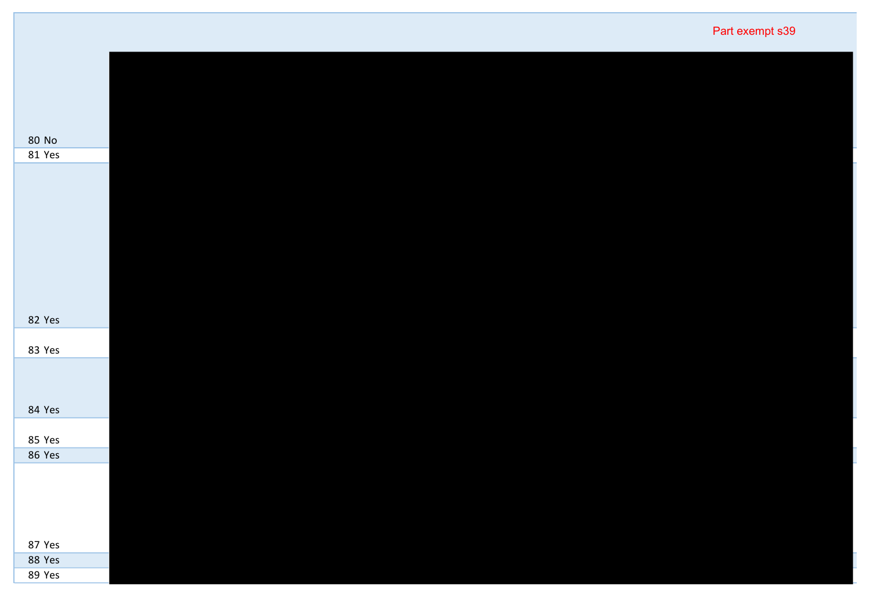| Part exempt s39 |  |
|-----------------|--|
|-----------------|--|

| 80 No<br>81 Yes |
|-----------------|
|                 |
|                 |
|                 |
|                 |
|                 |
|                 |
|                 |
|                 |
|                 |
|                 |
|                 |
|                 |
|                 |
|                 |
|                 |
|                 |
|                 |
|                 |
|                 |
|                 |
|                 |
|                 |
|                 |
|                 |
|                 |
|                 |
|                 |
| 82 Yes          |
|                 |
|                 |
| 83 Yes          |
|                 |
|                 |
|                 |
|                 |
|                 |
| 84 Yes          |
|                 |
|                 |
| 85 Yes          |
|                 |
| 86 Yes          |
|                 |
|                 |
|                 |
|                 |
|                 |
|                 |
|                 |
|                 |
| 87 Yes          |
|                 |
| 88 Yes          |
| 89 Yes          |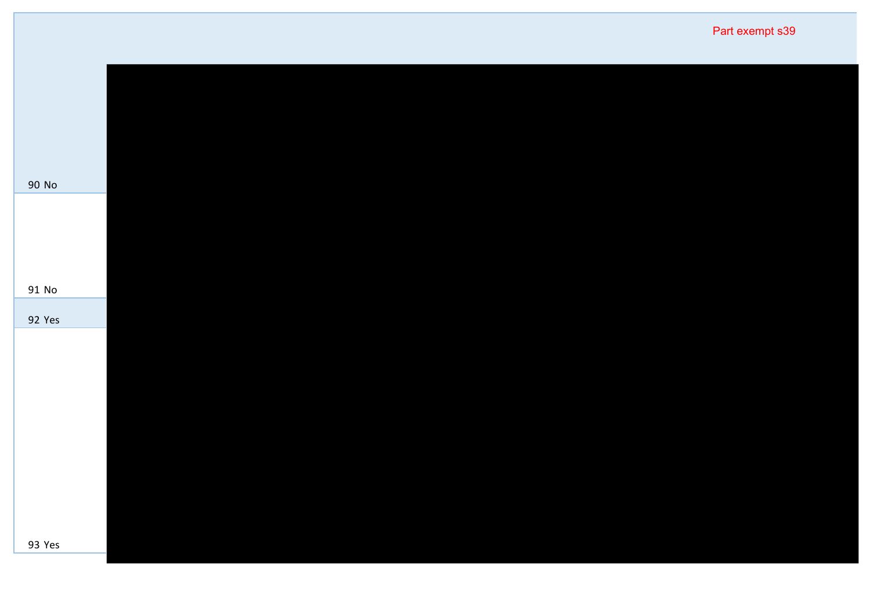|        | Part exempt s39 |
|--------|-----------------|
|        |                 |
|        |                 |
| 90 No  |                 |
|        |                 |
|        |                 |
| 91 No  |                 |
| 92 Yes |                 |
|        |                 |
|        |                 |
|        |                 |
|        |                 |
|        |                 |
|        |                 |
| 93 Yes |                 |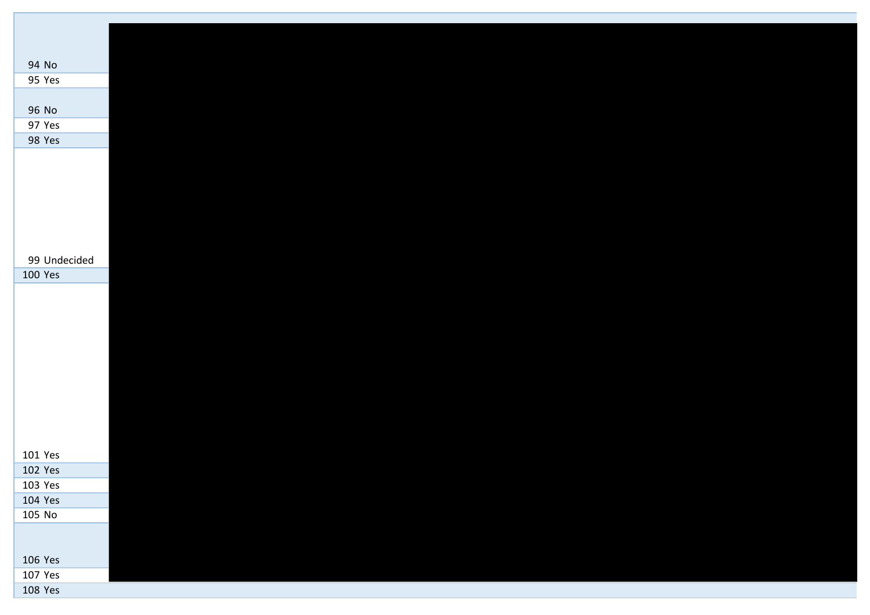| 94 No        |  |
|--------------|--|
| 95 Yes       |  |
|              |  |
| 96 No        |  |
| 97 Yes       |  |
| 98 Yes       |  |
|              |  |
|              |  |
|              |  |
|              |  |
|              |  |
|              |  |
|              |  |
|              |  |
| 99 Undecided |  |
| 100 Yes      |  |
|              |  |
|              |  |
|              |  |
|              |  |
|              |  |
|              |  |
|              |  |
|              |  |
|              |  |
|              |  |
|              |  |
| 101 Yes      |  |
| 102 Yes      |  |
| 103 Yes      |  |
| 104 Yes      |  |
| 105 No       |  |
|              |  |
|              |  |
| 106 Yes      |  |
| 107 Yes      |  |
| 108 Yes      |  |
|              |  |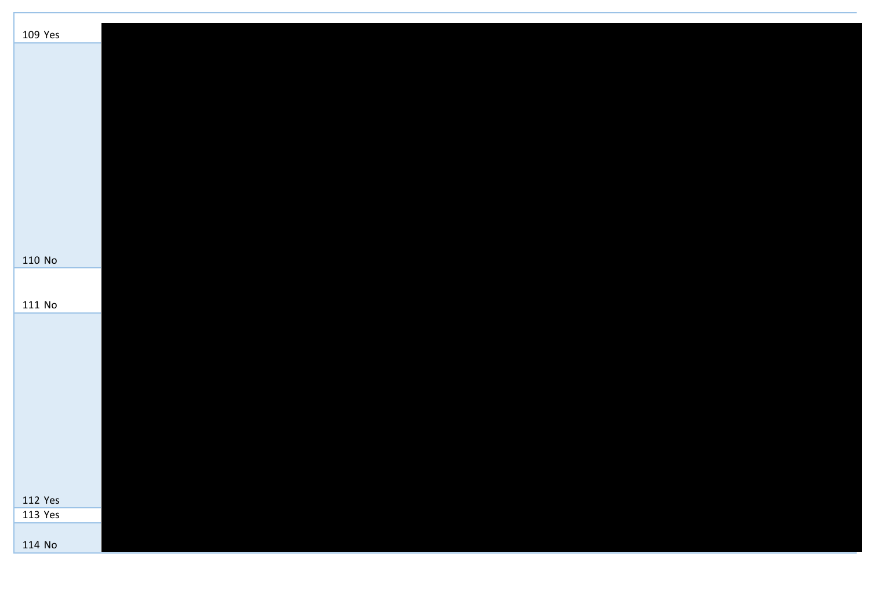| 109 Yes |  |  |  |  |
|---------|--|--|--|--|
|         |  |  |  |  |
|         |  |  |  |  |
|         |  |  |  |  |
|         |  |  |  |  |
|         |  |  |  |  |
|         |  |  |  |  |
|         |  |  |  |  |
|         |  |  |  |  |
|         |  |  |  |  |
|         |  |  |  |  |
|         |  |  |  |  |
|         |  |  |  |  |
|         |  |  |  |  |
| 110 No  |  |  |  |  |
|         |  |  |  |  |
| 111 No  |  |  |  |  |
|         |  |  |  |  |
|         |  |  |  |  |
|         |  |  |  |  |
|         |  |  |  |  |
|         |  |  |  |  |
|         |  |  |  |  |
|         |  |  |  |  |
|         |  |  |  |  |
|         |  |  |  |  |
|         |  |  |  |  |
|         |  |  |  |  |
| 112 Yes |  |  |  |  |
| 113 Yes |  |  |  |  |
|         |  |  |  |  |
| 114 No  |  |  |  |  |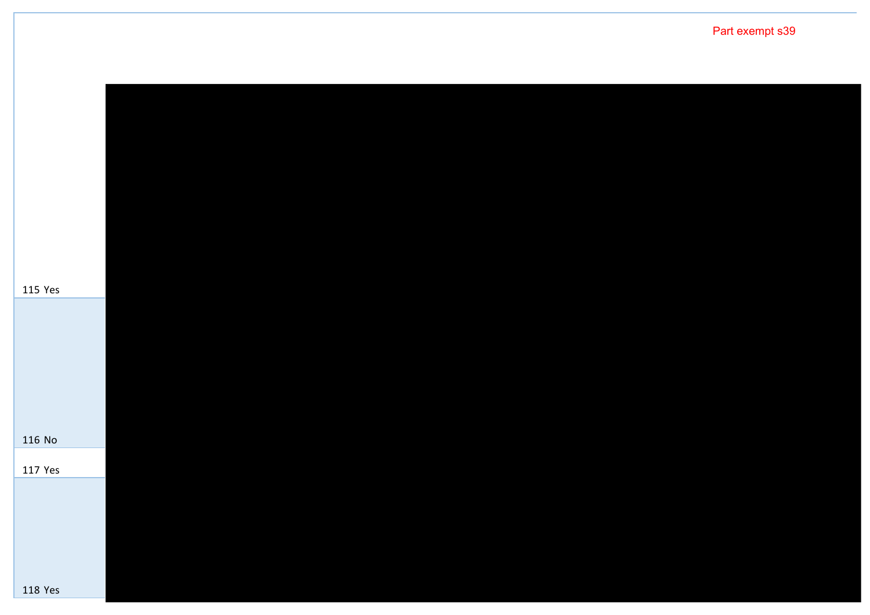Yes No Yes Yes Part exempt s39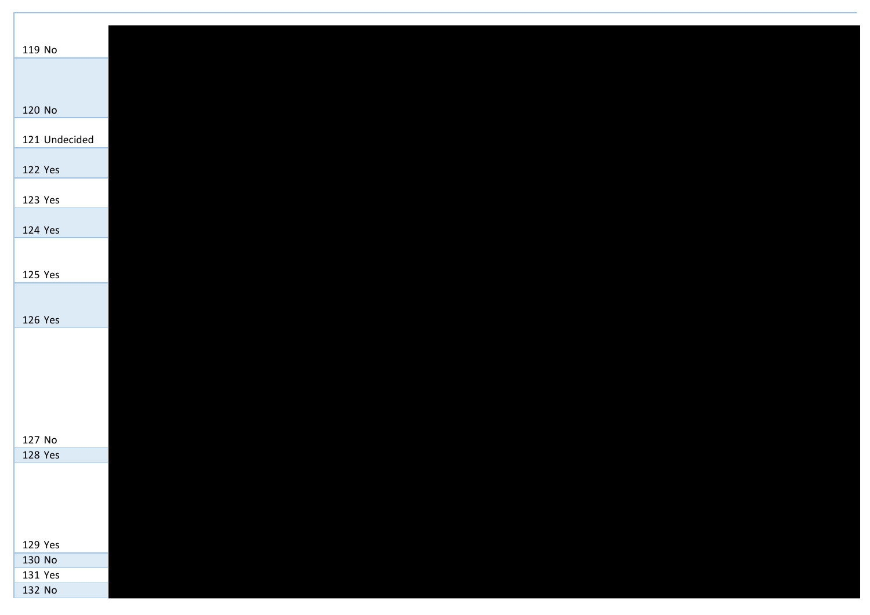| 119 No        |  |  |  |  |
|---------------|--|--|--|--|
|               |  |  |  |  |
|               |  |  |  |  |
| 120 No        |  |  |  |  |
| 121 Undecided |  |  |  |  |
| 122 Yes       |  |  |  |  |
| 123 Yes       |  |  |  |  |
|               |  |  |  |  |
| 124 Yes       |  |  |  |  |
| 125 Yes       |  |  |  |  |
|               |  |  |  |  |
| 126 Yes       |  |  |  |  |
|               |  |  |  |  |
|               |  |  |  |  |
|               |  |  |  |  |
|               |  |  |  |  |
| 127 No        |  |  |  |  |
| 128 Yes       |  |  |  |  |
|               |  |  |  |  |
|               |  |  |  |  |
| 129 Yes       |  |  |  |  |
| 130 No        |  |  |  |  |
| 131 Yes       |  |  |  |  |
| 132 No        |  |  |  |  |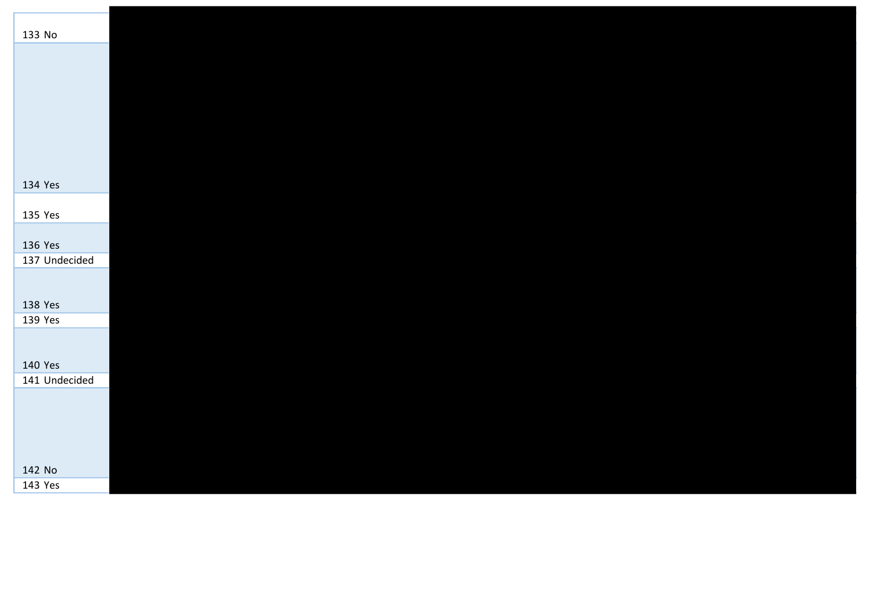| 133 No        |  |  |  |  |  |
|---------------|--|--|--|--|--|
|               |  |  |  |  |  |
|               |  |  |  |  |  |
|               |  |  |  |  |  |
|               |  |  |  |  |  |
|               |  |  |  |  |  |
| 134 Yes       |  |  |  |  |  |
| 135 Yes       |  |  |  |  |  |
| 136 Yes       |  |  |  |  |  |
| 137 Undecided |  |  |  |  |  |
|               |  |  |  |  |  |
| 138 Yes       |  |  |  |  |  |
| 139 Yes       |  |  |  |  |  |
|               |  |  |  |  |  |
| 140 Yes       |  |  |  |  |  |
| 141 Undecided |  |  |  |  |  |
|               |  |  |  |  |  |
|               |  |  |  |  |  |
|               |  |  |  |  |  |
| 142 No        |  |  |  |  |  |
| 143 Yes       |  |  |  |  |  |
|               |  |  |  |  |  |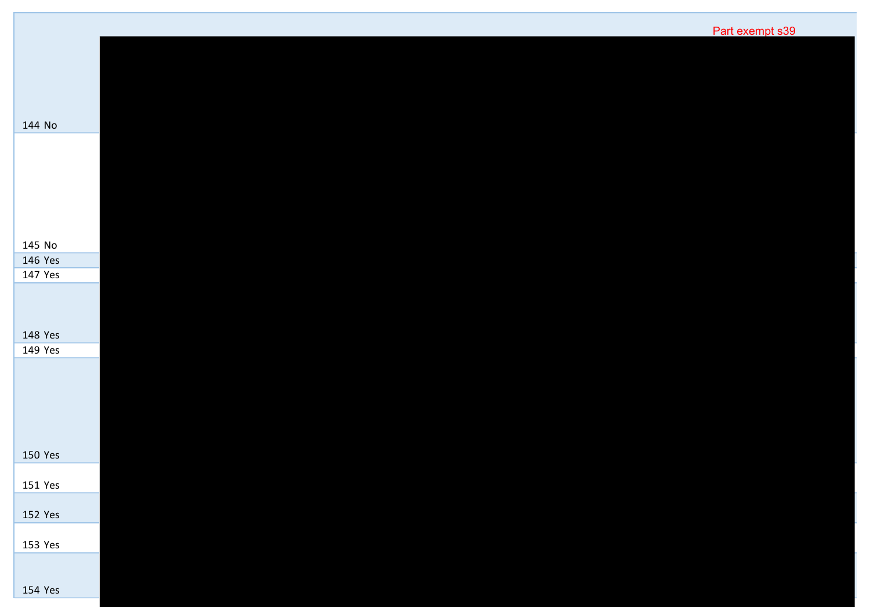|                    | Part exempt s39 |
|--------------------|-----------------|
|                    |                 |
|                    |                 |
|                    |                 |
| 144 No             |                 |
|                    |                 |
|                    |                 |
|                    |                 |
|                    |                 |
| 145 No             |                 |
| 146 Yes<br>147 Yes |                 |
|                    |                 |
|                    |                 |
|                    |                 |
| 148 Yes<br>149 Yes |                 |
|                    |                 |
|                    |                 |
|                    |                 |
|                    |                 |
|                    |                 |
| 150 Yes            |                 |
| 151 Yes            |                 |
| 152 Yes            |                 |
|                    |                 |
| 153 Yes            |                 |
|                    |                 |
| 154 Yes            |                 |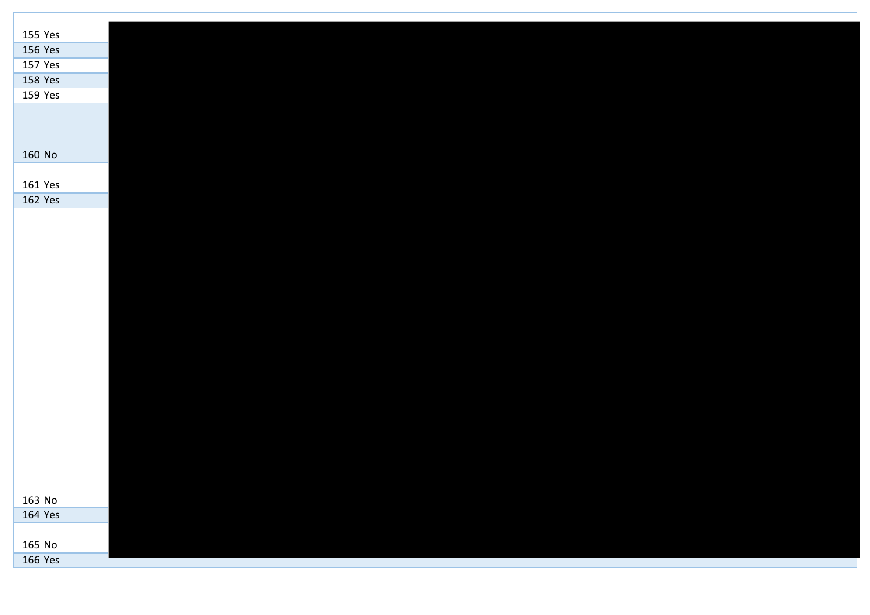| 155 Yes |  |  |  |  |
|---------|--|--|--|--|
| 156 Yes |  |  |  |  |
| 157 Yes |  |  |  |  |
| 158 Yes |  |  |  |  |
| 159 Yes |  |  |  |  |
|         |  |  |  |  |
|         |  |  |  |  |
|         |  |  |  |  |
| 160 No  |  |  |  |  |
|         |  |  |  |  |
| 161 Yes |  |  |  |  |
| 162 Yes |  |  |  |  |
|         |  |  |  |  |
|         |  |  |  |  |
|         |  |  |  |  |
|         |  |  |  |  |
|         |  |  |  |  |
|         |  |  |  |  |
|         |  |  |  |  |
|         |  |  |  |  |
|         |  |  |  |  |
|         |  |  |  |  |
|         |  |  |  |  |
|         |  |  |  |  |
|         |  |  |  |  |
|         |  |  |  |  |
|         |  |  |  |  |
|         |  |  |  |  |
|         |  |  |  |  |
|         |  |  |  |  |
| 163 No  |  |  |  |  |
| 164 Yes |  |  |  |  |
|         |  |  |  |  |
| 165 No  |  |  |  |  |
| 166 Yes |  |  |  |  |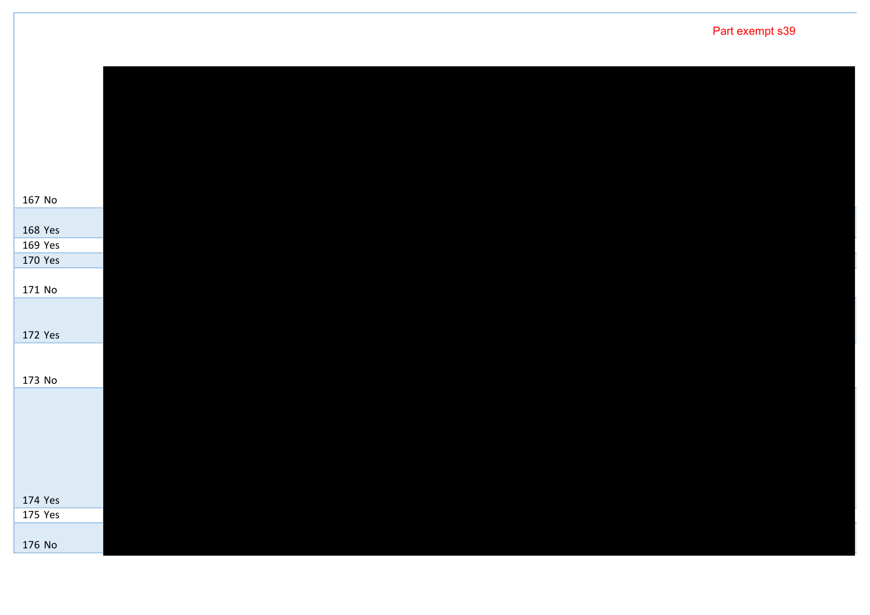No Yes Yes Yes No Yes No Yes Yes No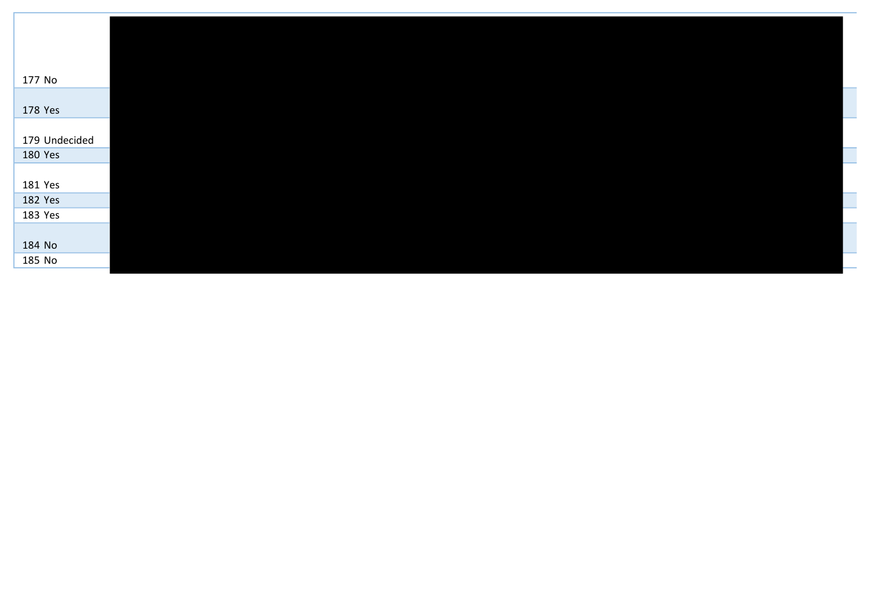| 177 No        |  |  |  |
|---------------|--|--|--|
|               |  |  |  |
| 178 Yes       |  |  |  |
|               |  |  |  |
| 179 Undecided |  |  |  |
| 180 Yes       |  |  |  |
|               |  |  |  |
| 181 Yes       |  |  |  |
| 182 Yes       |  |  |  |
| 183 Yes       |  |  |  |
|               |  |  |  |
| 184 No        |  |  |  |
| 185 No        |  |  |  |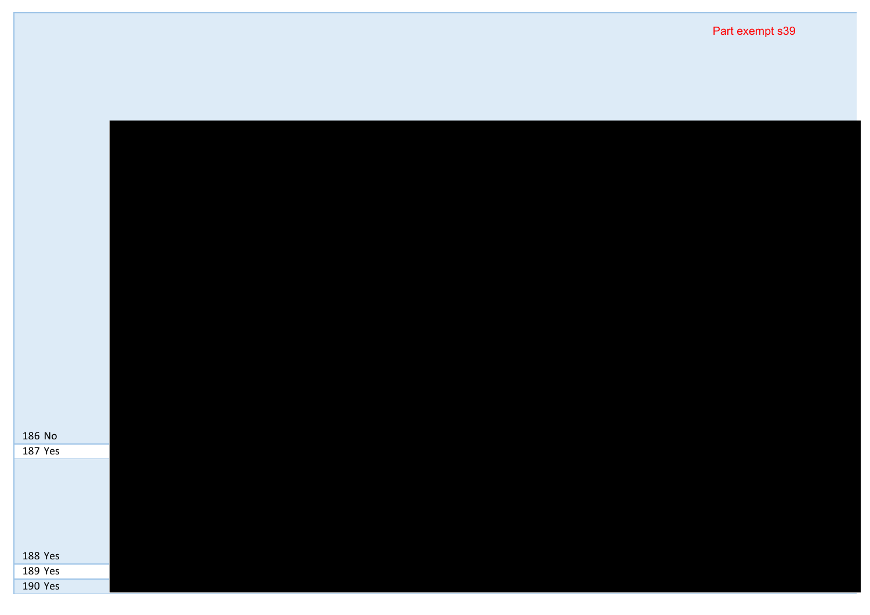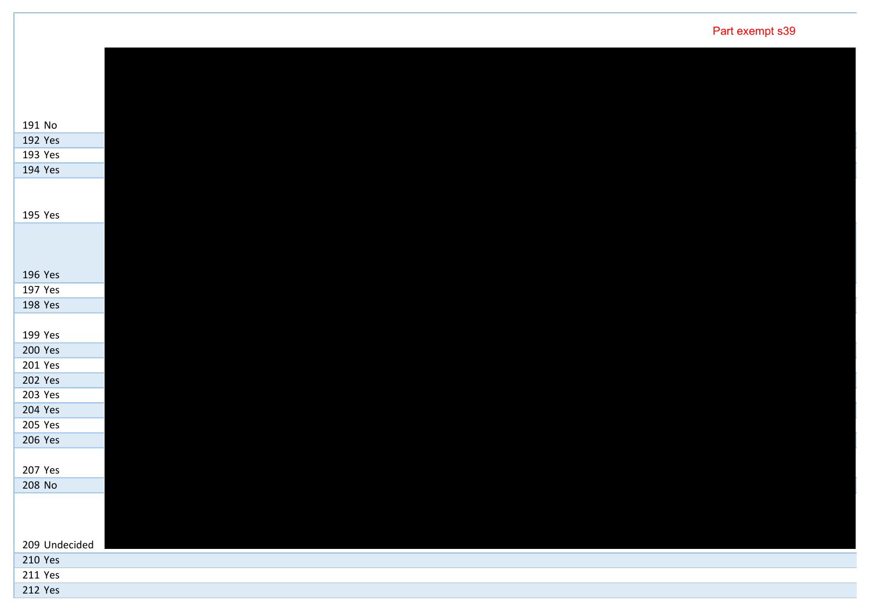| 191 No         |  |  |  |  |
|----------------|--|--|--|--|
| 192 Yes        |  |  |  |  |
| 193 Yes        |  |  |  |  |
| 194 Yes        |  |  |  |  |
|                |  |  |  |  |
|                |  |  |  |  |
| 195 Yes        |  |  |  |  |
|                |  |  |  |  |
|                |  |  |  |  |
|                |  |  |  |  |
| 196 Yes        |  |  |  |  |
| 197 Yes        |  |  |  |  |
| 198 Yes        |  |  |  |  |
|                |  |  |  |  |
| 199 Yes        |  |  |  |  |
| 200 Yes        |  |  |  |  |
| 201 Yes        |  |  |  |  |
| 202 Yes        |  |  |  |  |
| 203 Yes        |  |  |  |  |
| 204 Yes        |  |  |  |  |
| 205 Yes        |  |  |  |  |
| 206 Yes        |  |  |  |  |
|                |  |  |  |  |
| 207 Yes        |  |  |  |  |
| 208 No         |  |  |  |  |
|                |  |  |  |  |
|                |  |  |  |  |
|                |  |  |  |  |
| 209 Undecided  |  |  |  |  |
| 210 Yes        |  |  |  |  |
| 211 Yes        |  |  |  |  |
| <b>212 Yes</b> |  |  |  |  |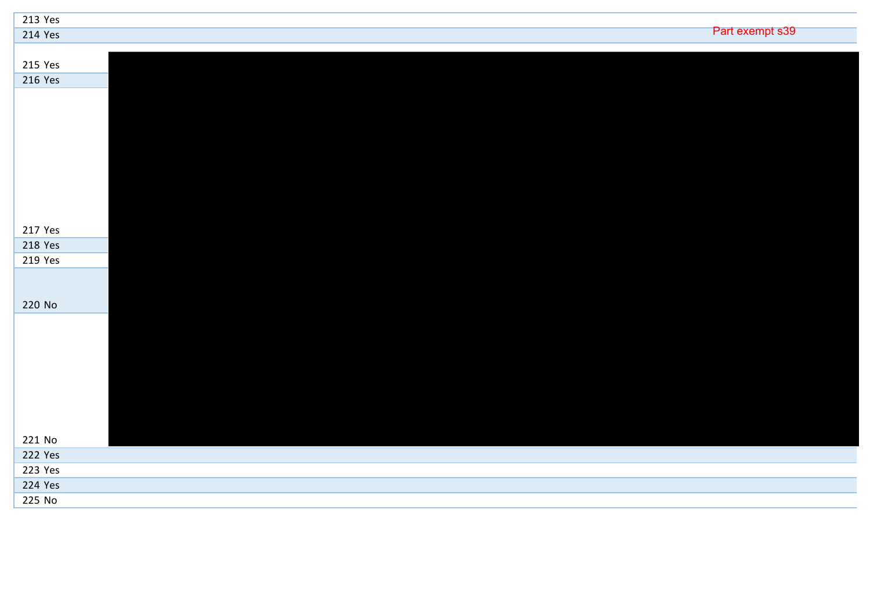| 213 Yes |                 |
|---------|-----------------|
| 214 Yes | Part exempt s39 |
|         |                 |
| 215 Yes |                 |
| 216 Yes |                 |
|         |                 |
|         |                 |
|         |                 |
|         |                 |
|         |                 |
|         |                 |
|         |                 |
|         |                 |
|         |                 |
| 217 Yes |                 |
| 218 Yes |                 |
| 219 Yes |                 |
|         |                 |
|         |                 |
| 220 No  |                 |
|         |                 |
|         |                 |
|         |                 |
|         |                 |
|         |                 |
|         |                 |
|         |                 |
|         |                 |
| 221 No  |                 |
| 222 Yes |                 |
|         |                 |
| 223 Yes |                 |
| 224 Yes |                 |
| 225 No  |                 |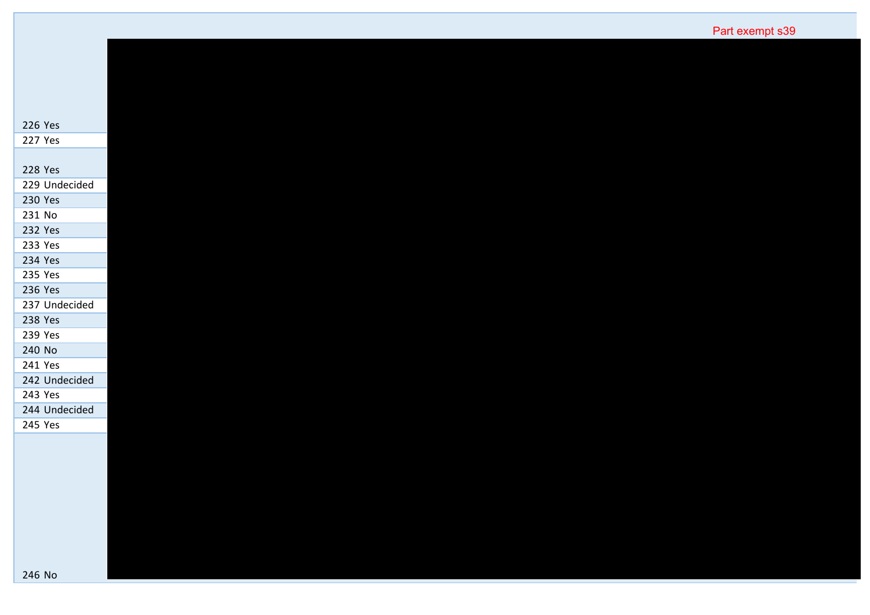| 226 Yes       |
|---------------|
| 227 Yes       |
| 228 Yes       |
| 229 Undecided |
| 230 Yes       |
| 231 No        |
| 232 Yes       |
| 233 Yes       |
| 234 Yes       |
| 235 Yes       |
| 236 Yes       |
| 237 Undecided |
| 238 Yes       |
| 239 Yes       |
| 240 No        |
| 241 Yes       |
| 242 Undecided |
| 243 Yes       |
| 244 Undecided |
| 245 Yes       |
|               |
|               |
|               |
|               |
|               |
|               |
|               |
|               |
|               |
| 246 No        |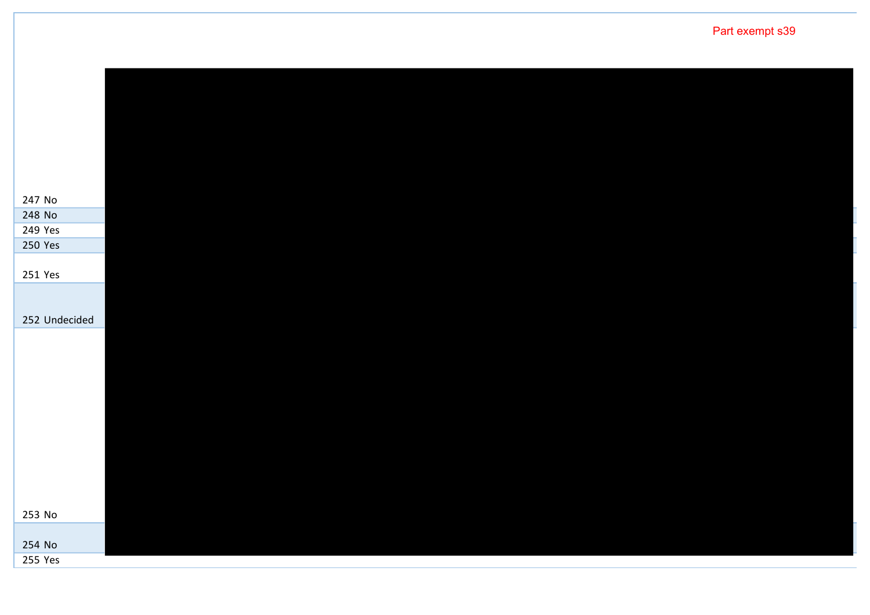No No Yes Yes Yes Undecided No No Yes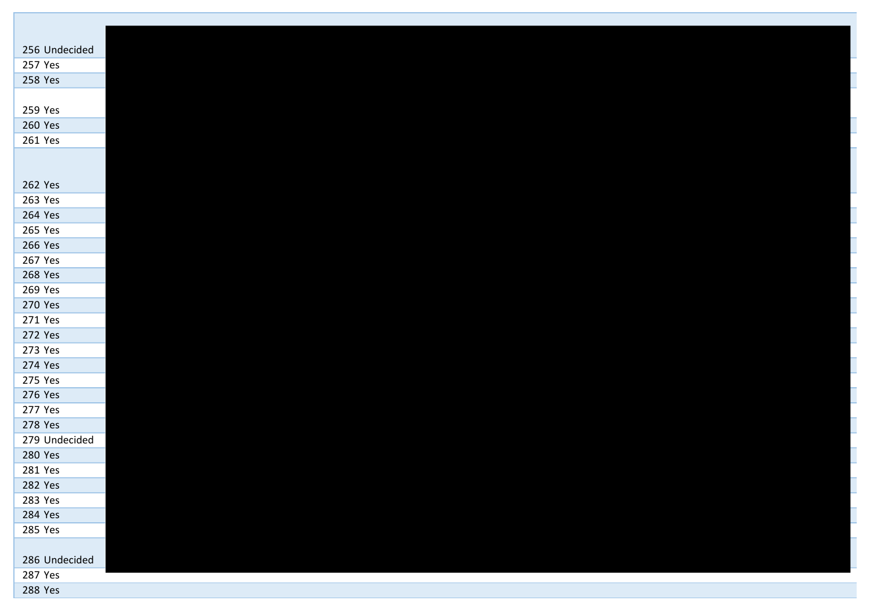| 256 Undecided |
|---------------|
| 257 Yes       |
| 258 Yes       |
|               |
| 259 Yes       |
| 260 Yes       |
| 261 Yes       |
|               |
|               |
| 262 Yes       |
| 263 Yes       |
| 264 Yes       |
| 265 Yes       |
| 266 Yes       |
| 267 Yes       |
| 268 Yes       |
| 269 Yes       |
| 270 Yes       |
| 271 Yes       |
| 272 Yes       |
| 273 Yes       |
| 274 Yes       |
| 275 Yes       |
| 276 Yes       |
| 277 Yes       |
| 278 Yes       |
| 279 Undecided |
| 280 Yes       |
| 281 Yes       |
| 282 Yes       |
| 283 Yes       |
| 284 Yes       |
| 285 Yes       |
|               |
| 286 Undecided |
| 287 Yes       |
| 288 Yes       |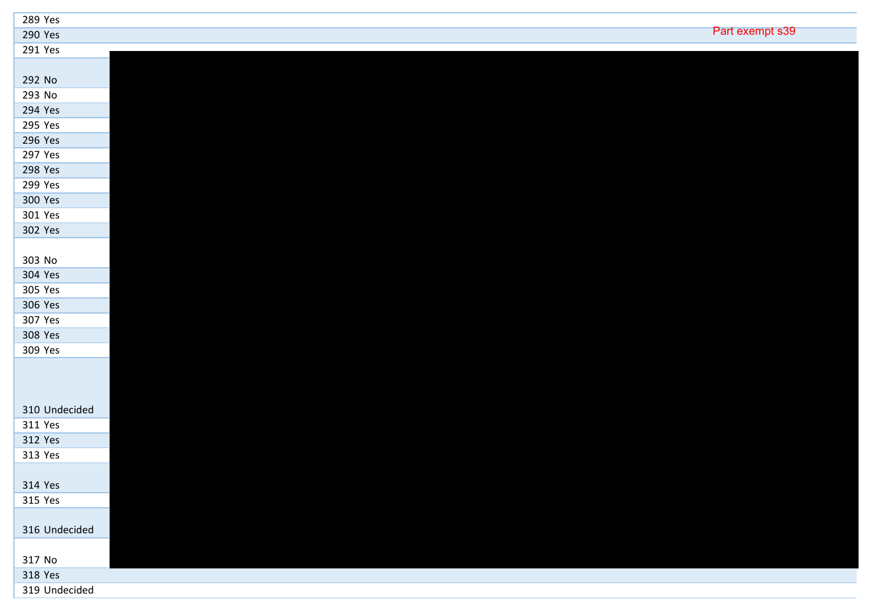| 289 Yes       |                 |  |
|---------------|-----------------|--|
| 290 Yes       | Part exempt s39 |  |
| 291 Yes       |                 |  |
|               |                 |  |
| 292 No        |                 |  |
| 293 No        |                 |  |
| 294 Yes       |                 |  |
| 295 Yes       |                 |  |
| 296 Yes       |                 |  |
| 297 Yes       |                 |  |
| 298 Yes       |                 |  |
| 299 Yes       |                 |  |
| 300 Yes       |                 |  |
| 301 Yes       |                 |  |
| 302 Yes       |                 |  |
|               |                 |  |
| 303 No        |                 |  |
| 304 Yes       |                 |  |
| 305 Yes       |                 |  |
| 306 Yes       |                 |  |
| 307 Yes       |                 |  |
| 308 Yes       |                 |  |
| 309 Yes       |                 |  |
|               |                 |  |
|               |                 |  |
|               |                 |  |
| 310 Undecided |                 |  |
| 311 Yes       |                 |  |
| 312 Yes       |                 |  |
| 313 Yes       |                 |  |
|               |                 |  |
| 314 Yes       |                 |  |
| 315 Yes       |                 |  |
|               |                 |  |
| 316 Undecided |                 |  |
|               |                 |  |
| 317 No        |                 |  |
| 318 Yes       |                 |  |
| 319 Undecided |                 |  |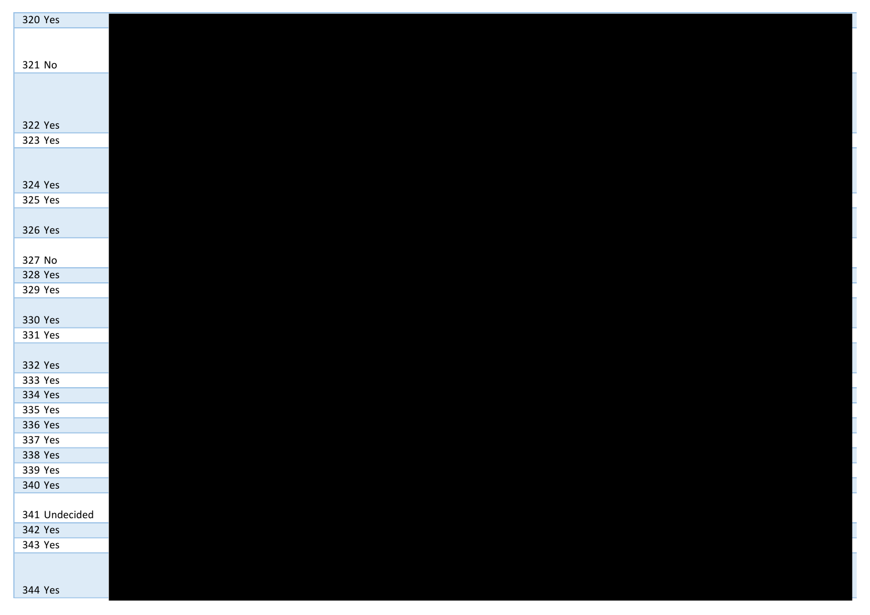| 320 Yes       |  |  |
|---------------|--|--|
|               |  |  |
|               |  |  |
| 321 No        |  |  |
|               |  |  |
|               |  |  |
|               |  |  |
| 322 Yes       |  |  |
| 323 Yes       |  |  |
|               |  |  |
|               |  |  |
| 324 Yes       |  |  |
| 325 Yes       |  |  |
|               |  |  |
| 326 Yes       |  |  |
|               |  |  |
| 327 No        |  |  |
| 328 Yes       |  |  |
| 329 Yes       |  |  |
|               |  |  |
| 330 Yes       |  |  |
| 331 Yes       |  |  |
|               |  |  |
| 332 Yes       |  |  |
| 333 Yes       |  |  |
| 334 Yes       |  |  |
| 335 Yes       |  |  |
| 336 Yes       |  |  |
| 337 Yes       |  |  |
| 338 Yes       |  |  |
| 339 Yes       |  |  |
| 340 Yes       |  |  |
|               |  |  |
| 341 Undecided |  |  |
| 342 Yes       |  |  |
| 343 Yes       |  |  |
|               |  |  |
|               |  |  |
| 344 Yes       |  |  |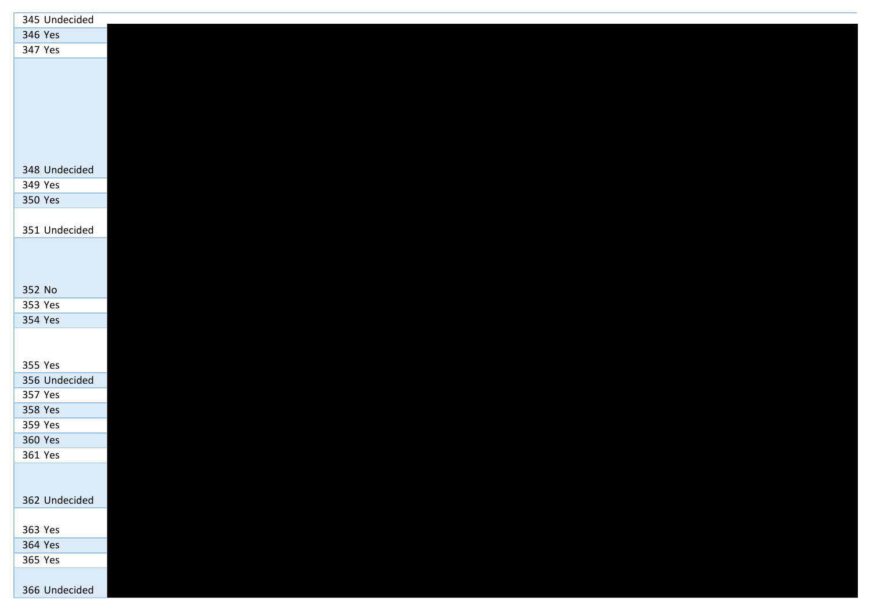| 345 Undecided |  |
|---------------|--|
| 346 Yes       |  |
| 347 Yes       |  |
|               |  |
|               |  |
|               |  |
|               |  |
|               |  |
|               |  |
|               |  |
| 348 Undecided |  |
| 349 Yes       |  |
| 350 Yes       |  |
|               |  |
| 351 Undecided |  |
|               |  |
|               |  |
|               |  |
| 352 No        |  |
| 353 Yes       |  |
| 354 Yes       |  |
|               |  |
|               |  |
| 355 Yes       |  |
| 356 Undecided |  |
| 357 Yes       |  |
| 358 Yes       |  |
| 359 Yes       |  |
| 360 Yes       |  |
| 361 Yes       |  |
|               |  |
|               |  |
| 362 Undecided |  |
|               |  |
| 363 Yes       |  |
| 364 Yes       |  |
| 365 Yes       |  |
|               |  |
| 366 Undecided |  |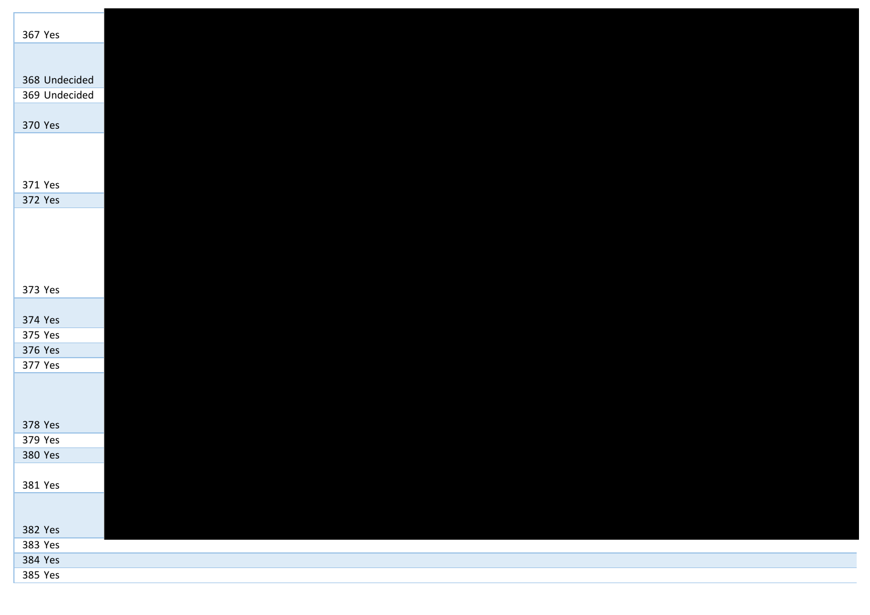| 367 Yes                        |  |  |  |
|--------------------------------|--|--|--|
|                                |  |  |  |
|                                |  |  |  |
| 368 Undecided<br>369 Undecided |  |  |  |
|                                |  |  |  |
| 370 Yes                        |  |  |  |
|                                |  |  |  |
|                                |  |  |  |
|                                |  |  |  |
| 371 Yes                        |  |  |  |
| 372 Yes                        |  |  |  |
|                                |  |  |  |
|                                |  |  |  |
|                                |  |  |  |
|                                |  |  |  |
| 373 Yes                        |  |  |  |
|                                |  |  |  |
| 374 Yes<br>375 Yes             |  |  |  |
| 376 Yes                        |  |  |  |
| 377 Yes                        |  |  |  |
|                                |  |  |  |
|                                |  |  |  |
|                                |  |  |  |
| 378 Yes                        |  |  |  |
| 379 Yes                        |  |  |  |
| 380 Yes                        |  |  |  |
| 381 Yes                        |  |  |  |
|                                |  |  |  |
|                                |  |  |  |
| 382 Yes                        |  |  |  |
| 383 Yes                        |  |  |  |
| 384 Yes                        |  |  |  |
| 385 Yes                        |  |  |  |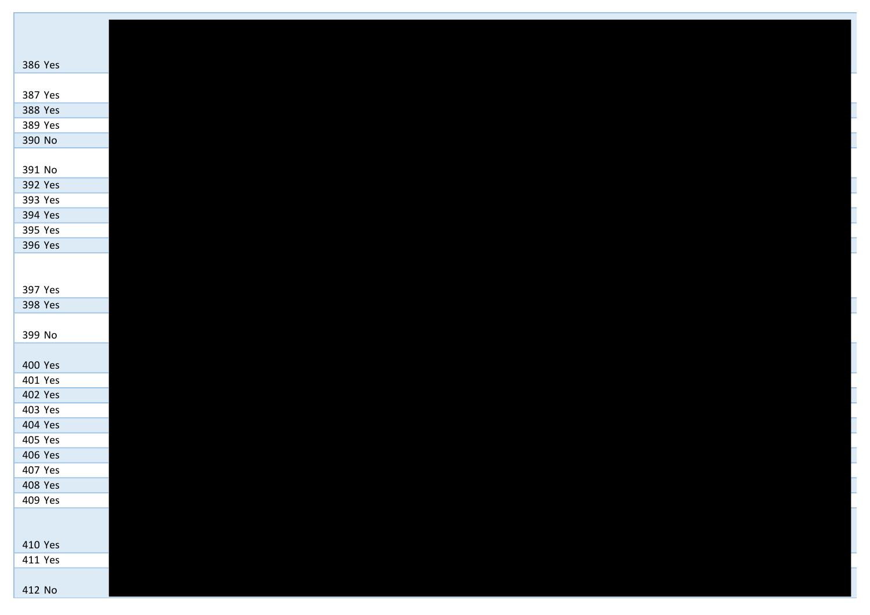| 386 Yes |
|---------|
|         |
| 387 Yes |
| 388 Yes |
| 389 Yes |
| 390 No  |
|         |
| 391 No  |
| 392 Yes |
| 393 Yes |
| 394 Yes |
| 395 Yes |
| 396 Yes |
|         |
|         |
| 397 Yes |
| 398 Yes |
|         |
| 399 No  |
|         |
| 400 Yes |
| 401 Yes |
| 402 Yes |
| 403 Yes |
| 404 Yes |
| 405 Yes |
| 406 Yes |
| 407 Yes |
| 408 Yes |
| 409 Yes |
|         |
|         |
| 410 Yes |
| 411 Yes |
|         |
| 412 No  |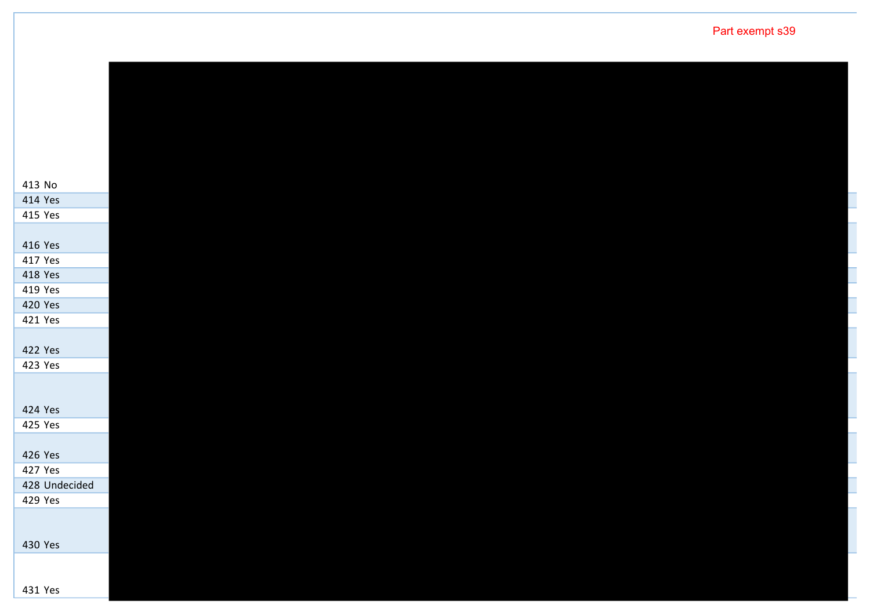| 413 No             |  |  |  |
|--------------------|--|--|--|
| 414 Yes            |  |  |  |
| 415 Yes            |  |  |  |
|                    |  |  |  |
| 416 Yes            |  |  |  |
| 417 Yes            |  |  |  |
| 418 Yes            |  |  |  |
| 419 Yes            |  |  |  |
| 420 Yes            |  |  |  |
| 421 Yes            |  |  |  |
|                    |  |  |  |
| 422 Yes            |  |  |  |
| 423 Yes            |  |  |  |
|                    |  |  |  |
|                    |  |  |  |
| 424 Yes            |  |  |  |
| 425 Yes            |  |  |  |
|                    |  |  |  |
| 426 Yes<br>427 Yes |  |  |  |
| 428 Undecided      |  |  |  |
| 429 Yes            |  |  |  |
|                    |  |  |  |
|                    |  |  |  |
| 430 Yes            |  |  |  |
|                    |  |  |  |
|                    |  |  |  |
| 431 Yes            |  |  |  |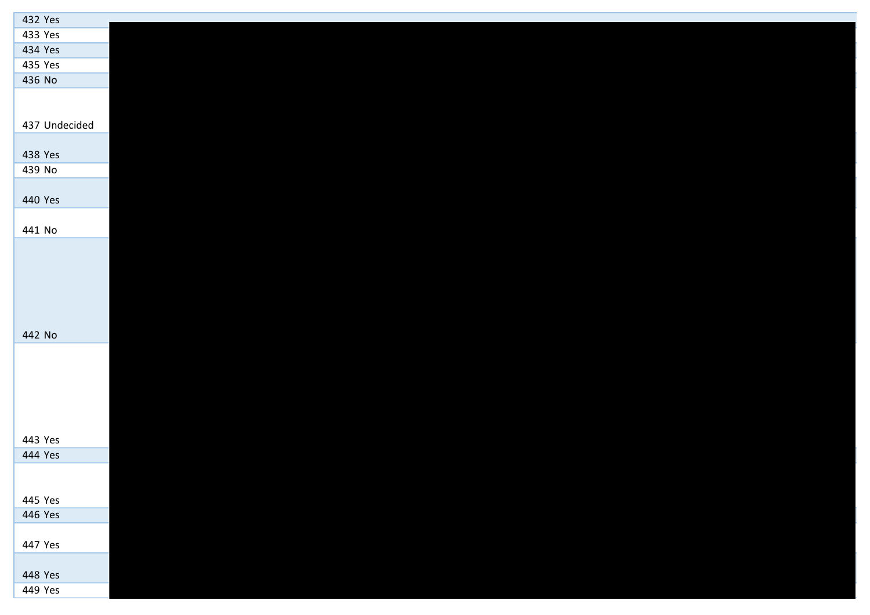| 432 Yes       |  |  |  |  |
|---------------|--|--|--|--|
| 433 Yes       |  |  |  |  |
| 434 Yes       |  |  |  |  |
| 435 Yes       |  |  |  |  |
| 436 No        |  |  |  |  |
|               |  |  |  |  |
|               |  |  |  |  |
| 437 Undecided |  |  |  |  |
|               |  |  |  |  |
| 438 Yes       |  |  |  |  |
| 439 No        |  |  |  |  |
|               |  |  |  |  |
| 440 Yes       |  |  |  |  |
|               |  |  |  |  |
| 441 No        |  |  |  |  |
|               |  |  |  |  |
|               |  |  |  |  |
|               |  |  |  |  |
|               |  |  |  |  |
|               |  |  |  |  |
|               |  |  |  |  |
| 442 No        |  |  |  |  |
|               |  |  |  |  |
|               |  |  |  |  |
|               |  |  |  |  |
|               |  |  |  |  |
|               |  |  |  |  |
|               |  |  |  |  |
| 443 Yes       |  |  |  |  |
| 444 Yes       |  |  |  |  |
|               |  |  |  |  |
|               |  |  |  |  |
| 445 Yes       |  |  |  |  |
| 446 Yes       |  |  |  |  |
| 447 Yes       |  |  |  |  |
|               |  |  |  |  |
| 448 Yes       |  |  |  |  |
| 449 Yes       |  |  |  |  |
|               |  |  |  |  |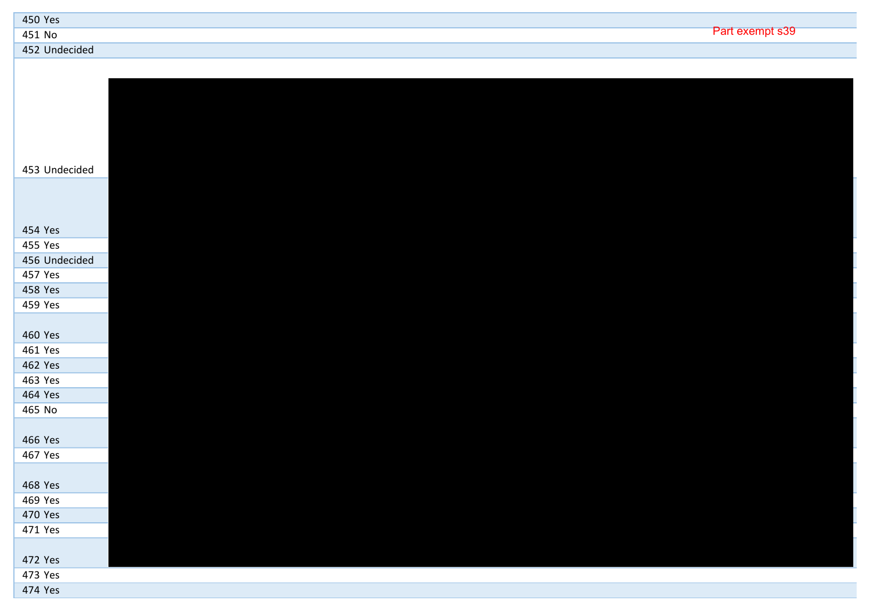| 450 Yes          |            |
|------------------|------------|
| 451 No           | s30<br>DA. |
| Undecided<br>452 |            |

| 453 Undecided      |  |
|--------------------|--|
|                    |  |
|                    |  |
|                    |  |
| 454 Yes            |  |
| 455 Yes            |  |
| 456 Undecided      |  |
| 457 Yes            |  |
| 458 Yes            |  |
| 459 Yes            |  |
|                    |  |
| 460 Yes            |  |
| 461 Yes            |  |
| 462 Yes            |  |
| 463 Yes            |  |
| 464 Yes            |  |
| 465 No             |  |
|                    |  |
| 466 Yes            |  |
| 467 Yes            |  |
|                    |  |
| 468 Yes<br>469 Yes |  |
| 470 Yes            |  |
| 471 Yes            |  |
|                    |  |
| 472 Yes            |  |
| 473 Yes            |  |
| 474 Yes            |  |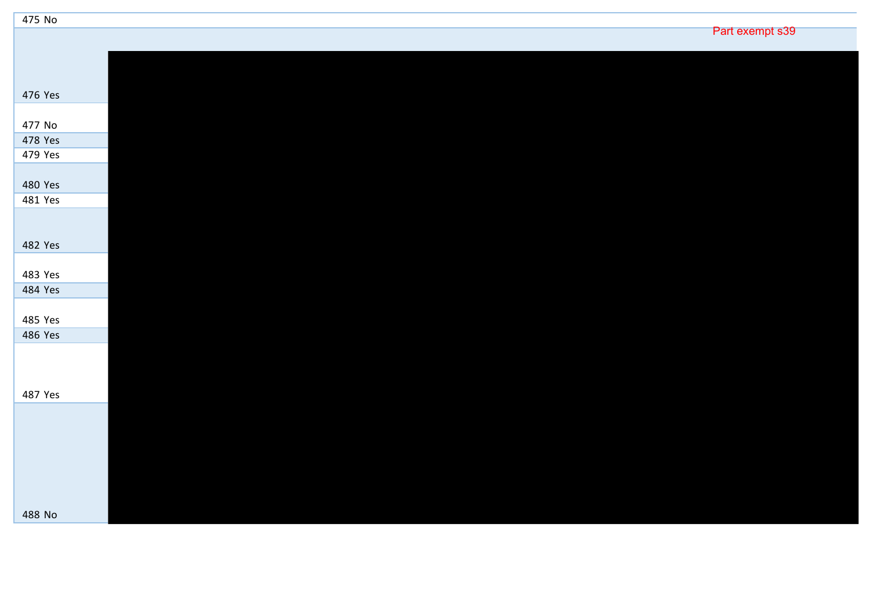| 475 No            |                 |  |
|-------------------|-----------------|--|
|                   | Part exempt s39 |  |
|                   |                 |  |
|                   |                 |  |
|                   |                 |  |
| 476 Yes           |                 |  |
|                   |                 |  |
| 477 No<br>478 Yes |                 |  |
| 479 Yes           |                 |  |
|                   |                 |  |
| 480 Yes           |                 |  |
| 481 Yes           |                 |  |
|                   |                 |  |
|                   |                 |  |
| 482 Yes           |                 |  |
|                   |                 |  |
| 483 Yes           |                 |  |
| 484 Yes           |                 |  |
|                   |                 |  |
| 485 Yes           |                 |  |
| 486 Yes           |                 |  |
|                   |                 |  |
|                   |                 |  |
|                   |                 |  |
| 487 Yes           |                 |  |
|                   |                 |  |
|                   |                 |  |
|                   |                 |  |
|                   |                 |  |
|                   |                 |  |
|                   |                 |  |
| 488 No            |                 |  |

Ī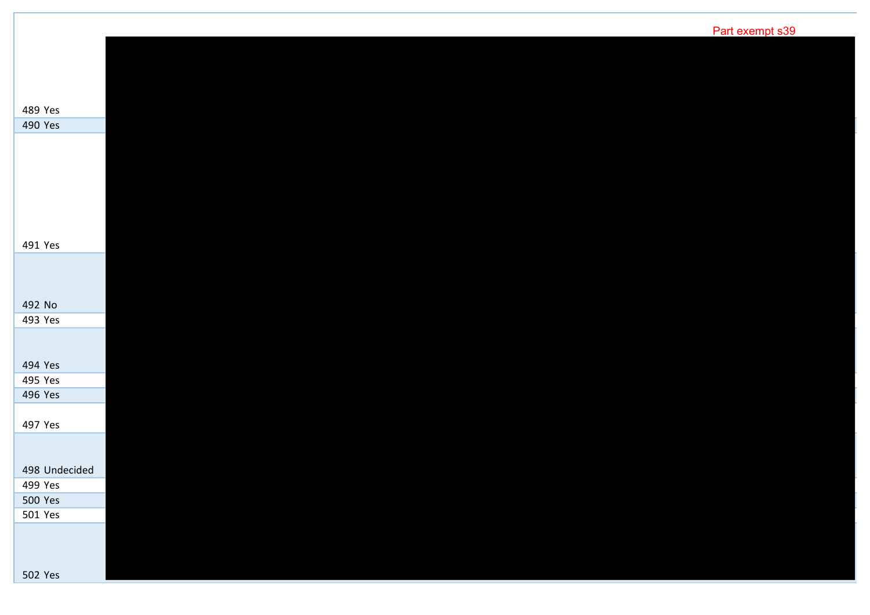|                           | Part exempt s39 |
|---------------------------|-----------------|
|                           |                 |
|                           |                 |
|                           |                 |
| 489 Yes                   |                 |
| 490 Yes                   |                 |
|                           |                 |
|                           |                 |
|                           |                 |
|                           |                 |
|                           |                 |
|                           |                 |
| 491 Yes                   |                 |
|                           |                 |
|                           |                 |
| 492 No                    |                 |
| 493 Yes                   |                 |
|                           |                 |
|                           |                 |
| 494 Yes                   |                 |
| 495 Yes                   |                 |
| 496 Yes                   |                 |
| 497 Yes                   |                 |
|                           |                 |
|                           |                 |
| 498 Undecided             |                 |
| 499 Yes<br><b>500 Yes</b> |                 |
| 501 Yes                   |                 |
|                           |                 |
|                           |                 |
|                           |                 |

Yes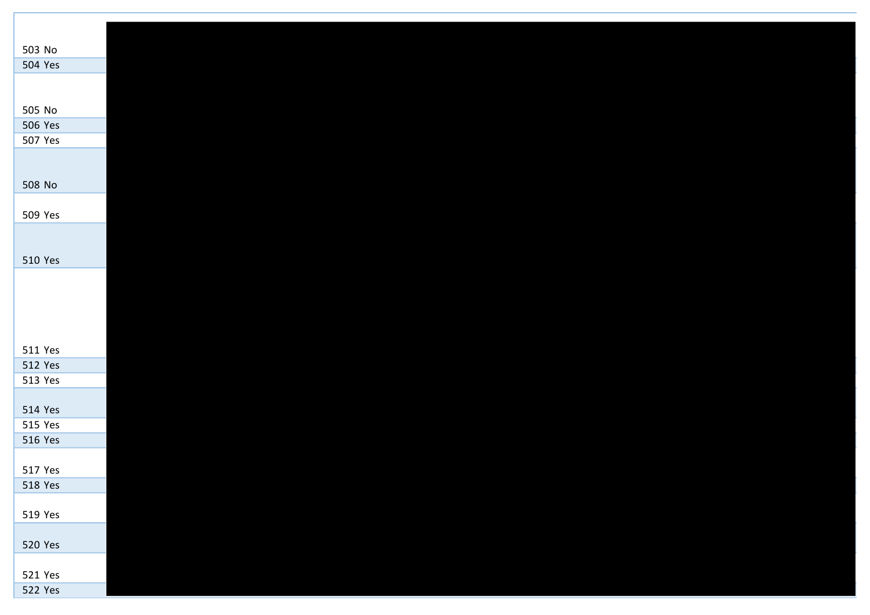| 503 No         |  |  |  |  |
|----------------|--|--|--|--|
| 504 Yes        |  |  |  |  |
|                |  |  |  |  |
|                |  |  |  |  |
| 505 No         |  |  |  |  |
| 506 Yes        |  |  |  |  |
| 507 Yes        |  |  |  |  |
|                |  |  |  |  |
|                |  |  |  |  |
| 508 No         |  |  |  |  |
|                |  |  |  |  |
| 509 Yes        |  |  |  |  |
|                |  |  |  |  |
|                |  |  |  |  |
| 510 Yes        |  |  |  |  |
|                |  |  |  |  |
|                |  |  |  |  |
|                |  |  |  |  |
|                |  |  |  |  |
| 511 Yes        |  |  |  |  |
| 512 Yes        |  |  |  |  |
| 513 Yes        |  |  |  |  |
|                |  |  |  |  |
| 514 Yes        |  |  |  |  |
| 515 Yes        |  |  |  |  |
| 516 Yes        |  |  |  |  |
|                |  |  |  |  |
| 517 Yes        |  |  |  |  |
| 518 Yes        |  |  |  |  |
|                |  |  |  |  |
| 519 Yes        |  |  |  |  |
|                |  |  |  |  |
| 520 Yes        |  |  |  |  |
|                |  |  |  |  |
| 521 Yes        |  |  |  |  |
| <b>522 Yes</b> |  |  |  |  |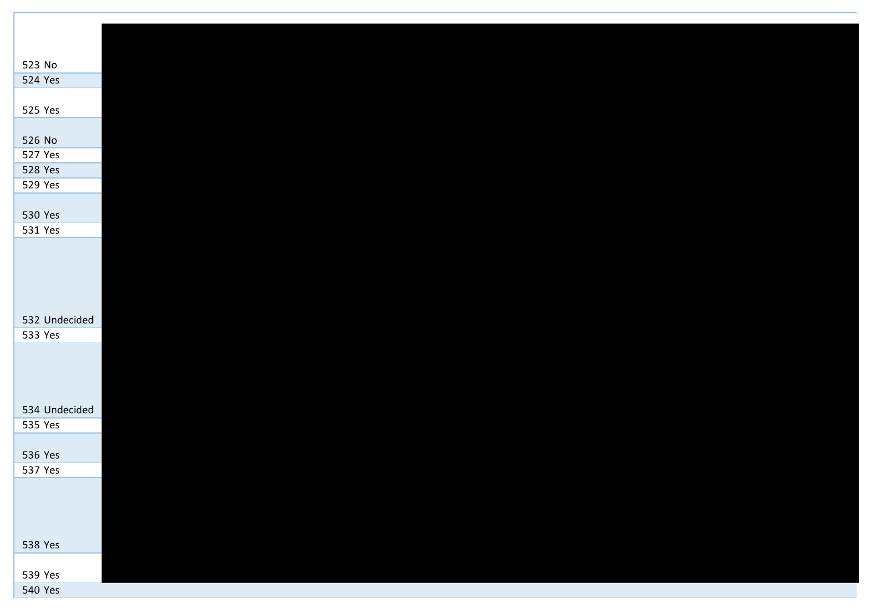| 523 No             |  |  |  |  |
|--------------------|--|--|--|--|
| 524 Yes            |  |  |  |  |
|                    |  |  |  |  |
| 525 Yes            |  |  |  |  |
|                    |  |  |  |  |
| 526 No             |  |  |  |  |
| 527 Yes            |  |  |  |  |
| 528 Yes            |  |  |  |  |
| 529 Yes            |  |  |  |  |
|                    |  |  |  |  |
| 530 Yes            |  |  |  |  |
| 531 Yes            |  |  |  |  |
|                    |  |  |  |  |
|                    |  |  |  |  |
|                    |  |  |  |  |
|                    |  |  |  |  |
| 532 Undecided      |  |  |  |  |
| 533 Yes            |  |  |  |  |
|                    |  |  |  |  |
|                    |  |  |  |  |
|                    |  |  |  |  |
|                    |  |  |  |  |
| 534 Undecided      |  |  |  |  |
| 535 Yes            |  |  |  |  |
|                    |  |  |  |  |
| 536 Yes            |  |  |  |  |
| 537 Yes            |  |  |  |  |
|                    |  |  |  |  |
|                    |  |  |  |  |
|                    |  |  |  |  |
|                    |  |  |  |  |
| 538 Yes            |  |  |  |  |
|                    |  |  |  |  |
| 539 Yes<br>540 Yes |  |  |  |  |
|                    |  |  |  |  |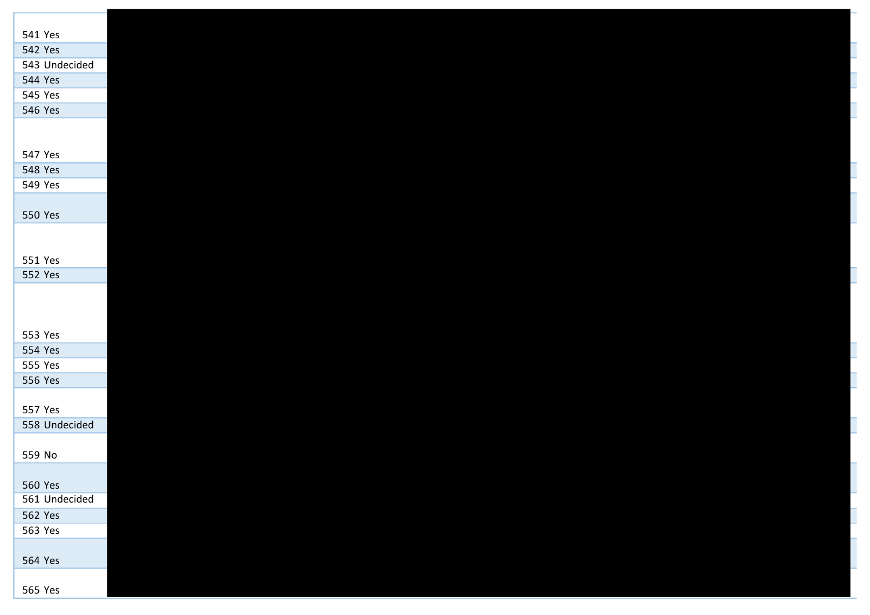| 541 Yes       |
|---------------|
| 542 Yes       |
| 543 Undecided |
| 544 Yes       |
| 545 Yes       |
| 546 Yes       |
|               |
|               |
| 547 Yes       |
| 548 Yes       |
| 549 Yes       |
|               |
| 550 Yes       |
|               |
| 551 Yes       |
| 552 Yes       |
|               |
|               |
|               |
| 553 Yes       |
| 554 Yes       |
| 555 Yes       |
| 556 Yes       |
|               |
| 557 Yes       |
| 558 Undecided |
|               |
| 559 No        |
|               |
| 560 Yes       |
| 561 Undecided |
| 562 Yes       |
| 563 Yes       |
|               |
| 564 Yes       |
|               |
| 565 Yes       |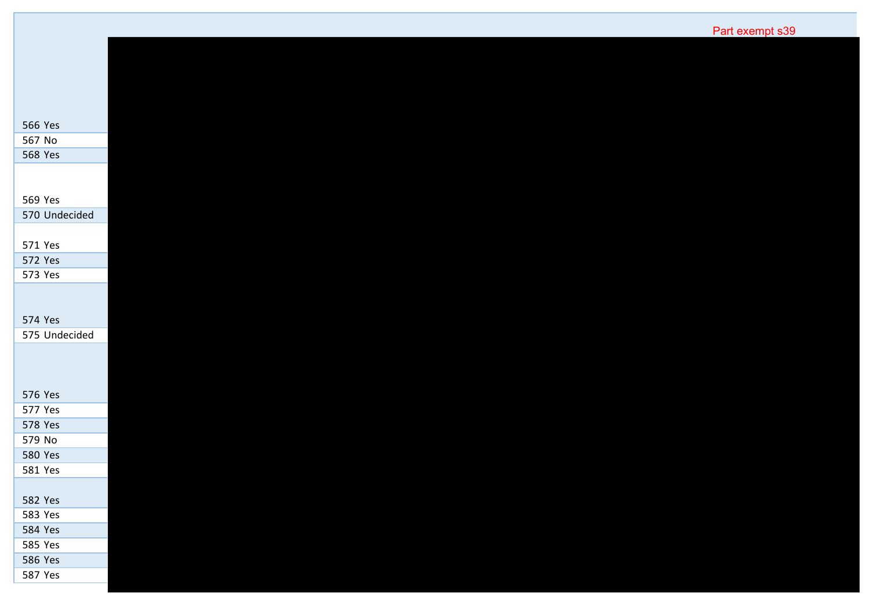| 566 Yes       |
|---------------|
| 567 No        |
| 568 Yes       |
|               |
|               |
| 569 Yes       |
| 570 Undecided |
|               |
| 571 Yes       |
| 572 Yes       |
| 573 Yes       |
|               |
|               |
| 574 Yes       |
| 575 Undecided |
|               |
|               |
|               |
| 576 Yes       |
| 577 Yes       |
| 578 Yes       |
| 579 No        |
| 580 Yes       |
| 581 Yes       |
|               |
| 582 Yes       |
| 583 Yes       |
| 584 Yes       |
|               |
| 585 Yes       |
| 586 Yes       |
| 587 Yes       |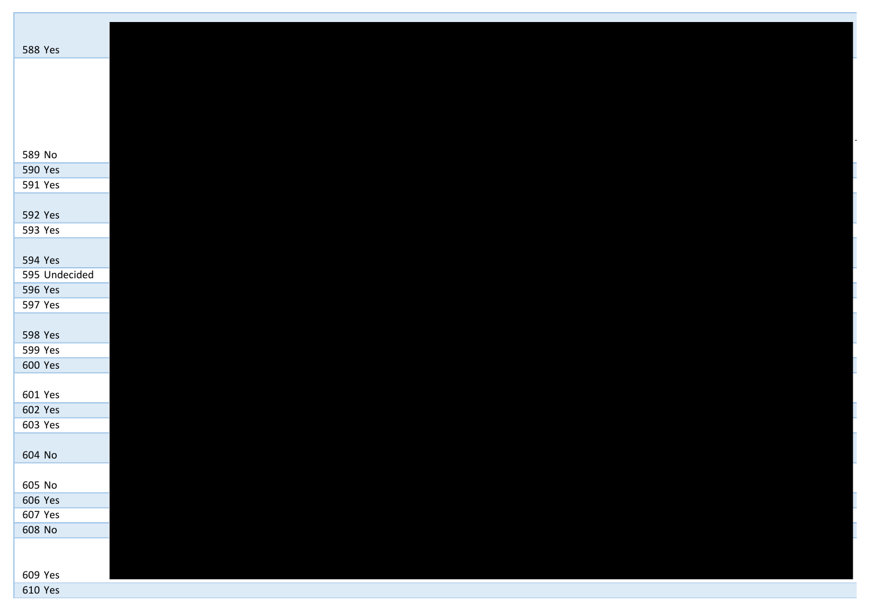| 588 Yes       |  |  |  |
|---------------|--|--|--|
|               |  |  |  |
|               |  |  |  |
|               |  |  |  |
|               |  |  |  |
|               |  |  |  |
|               |  |  |  |
|               |  |  |  |
| 589 No        |  |  |  |
| 590 Yes       |  |  |  |
| 591 Yes       |  |  |  |
|               |  |  |  |
| 592 Yes       |  |  |  |
| 593 Yes       |  |  |  |
|               |  |  |  |
| 594 Yes       |  |  |  |
| 595 Undecided |  |  |  |
| 596 Yes       |  |  |  |
| 597 Yes       |  |  |  |
|               |  |  |  |
| 598 Yes       |  |  |  |
|               |  |  |  |
| 599 Yes       |  |  |  |
| 600 Yes       |  |  |  |
|               |  |  |  |
| 601 Yes       |  |  |  |
| 602 Yes       |  |  |  |
| 603 Yes       |  |  |  |
|               |  |  |  |
| 604 No        |  |  |  |
|               |  |  |  |
| 605 No        |  |  |  |
| 606 Yes       |  |  |  |
| 607 Yes       |  |  |  |
| 608 No        |  |  |  |
|               |  |  |  |
|               |  |  |  |
| 609 Yes       |  |  |  |
| 610 Yes       |  |  |  |
|               |  |  |  |

-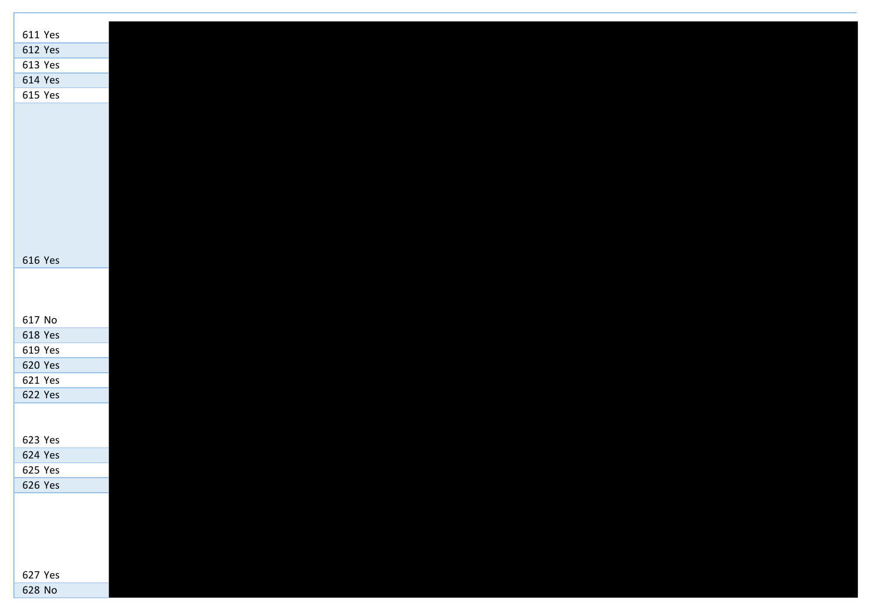| 611 Yes |  |  |  |
|---------|--|--|--|
| 612 Yes |  |  |  |
|         |  |  |  |
| 613 Yes |  |  |  |
| 614 Yes |  |  |  |
| 615 Yes |  |  |  |
|         |  |  |  |
|         |  |  |  |
|         |  |  |  |
|         |  |  |  |
|         |  |  |  |
|         |  |  |  |
|         |  |  |  |
|         |  |  |  |
|         |  |  |  |
| 616 Yes |  |  |  |
|         |  |  |  |
|         |  |  |  |
|         |  |  |  |
| 617 No  |  |  |  |
| 618 Yes |  |  |  |
| 619 Yes |  |  |  |
| 620 Yes |  |  |  |
| 621 Yes |  |  |  |
| 622 Yes |  |  |  |
|         |  |  |  |
|         |  |  |  |
| 623 Yes |  |  |  |
| 624 Yes |  |  |  |
| 625 Yes |  |  |  |
| 626 Yes |  |  |  |
|         |  |  |  |
|         |  |  |  |
|         |  |  |  |
|         |  |  |  |
|         |  |  |  |
| 627 Yes |  |  |  |
| 628 No  |  |  |  |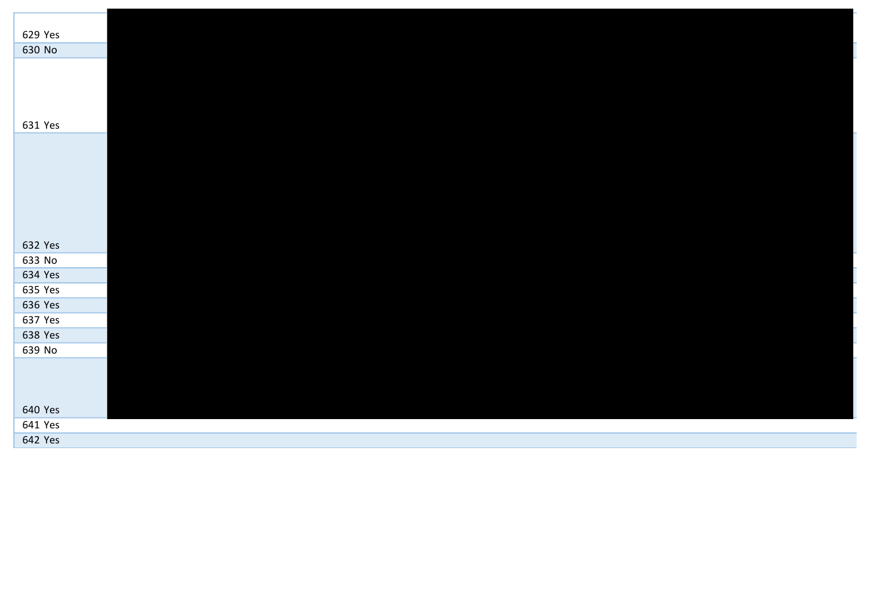| 629 Yes |  |  |
|---------|--|--|
| 630 No  |  |  |
|         |  |  |
|         |  |  |
|         |  |  |
|         |  |  |
| 631 Yes |  |  |
|         |  |  |
|         |  |  |
|         |  |  |
|         |  |  |
|         |  |  |
|         |  |  |
|         |  |  |
| 632 Yes |  |  |
| 633 No  |  |  |
| 634 Yes |  |  |
| 635 Yes |  |  |
| 636 Yes |  |  |
| 637 Yes |  |  |
| 638 Yes |  |  |
| 639 No  |  |  |
|         |  |  |
|         |  |  |
|         |  |  |
| 640 Yes |  |  |
| 641 Yes |  |  |
| 642 Yes |  |  |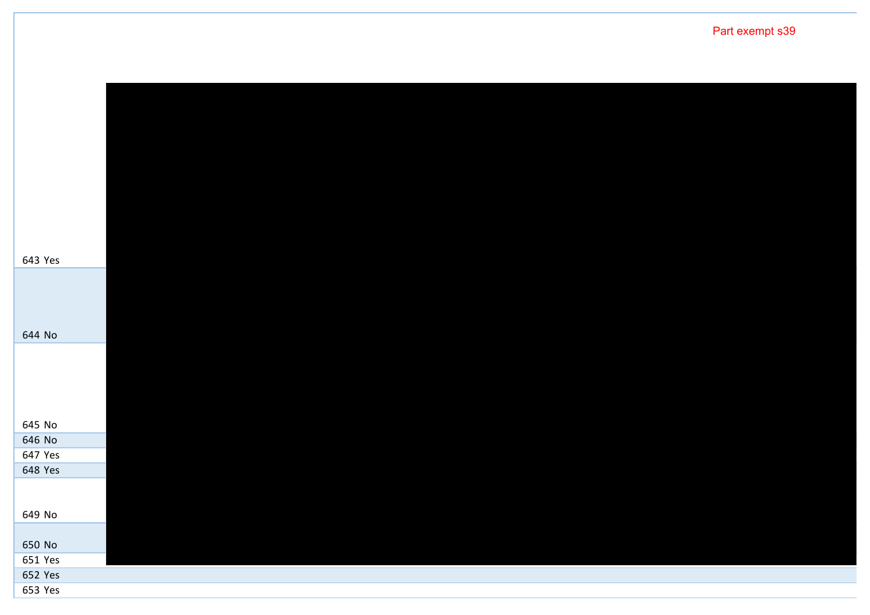| 643 Yes           |  |  |  |
|-------------------|--|--|--|
|                   |  |  |  |
|                   |  |  |  |
|                   |  |  |  |
| 644 No            |  |  |  |
|                   |  |  |  |
|                   |  |  |  |
|                   |  |  |  |
|                   |  |  |  |
| 645 No            |  |  |  |
| 646 No<br>647 Yes |  |  |  |
| 648 Yes           |  |  |  |
|                   |  |  |  |
|                   |  |  |  |
| 649 No            |  |  |  |
| 650 No            |  |  |  |
| 651 Yes           |  |  |  |
| 652 Yes           |  |  |  |
| 653 Yes           |  |  |  |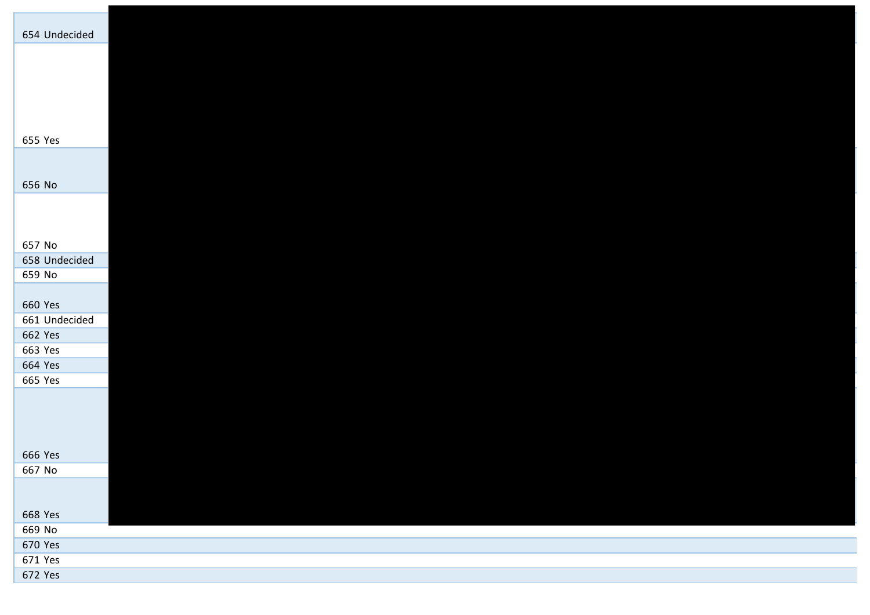| 654 Undecided |  |  |  |
|---------------|--|--|--|
|               |  |  |  |
|               |  |  |  |
|               |  |  |  |
|               |  |  |  |
|               |  |  |  |
|               |  |  |  |
| 655 Yes       |  |  |  |
|               |  |  |  |
|               |  |  |  |
| 656 No        |  |  |  |
|               |  |  |  |
|               |  |  |  |
|               |  |  |  |
| 657 No        |  |  |  |
| 658 Undecided |  |  |  |
| 659 No        |  |  |  |
|               |  |  |  |
| 660 Yes       |  |  |  |
| 661 Undecided |  |  |  |
| 662 Yes       |  |  |  |
| 663 Yes       |  |  |  |
| 664 Yes       |  |  |  |
| 665 Yes       |  |  |  |
|               |  |  |  |
|               |  |  |  |
|               |  |  |  |
|               |  |  |  |
| 666 Yes       |  |  |  |
| 667 No        |  |  |  |
|               |  |  |  |
|               |  |  |  |
| 668 Yes       |  |  |  |
| 669 No        |  |  |  |
| 670 Yes       |  |  |  |
| 671 Yes       |  |  |  |
| 672 Yes       |  |  |  |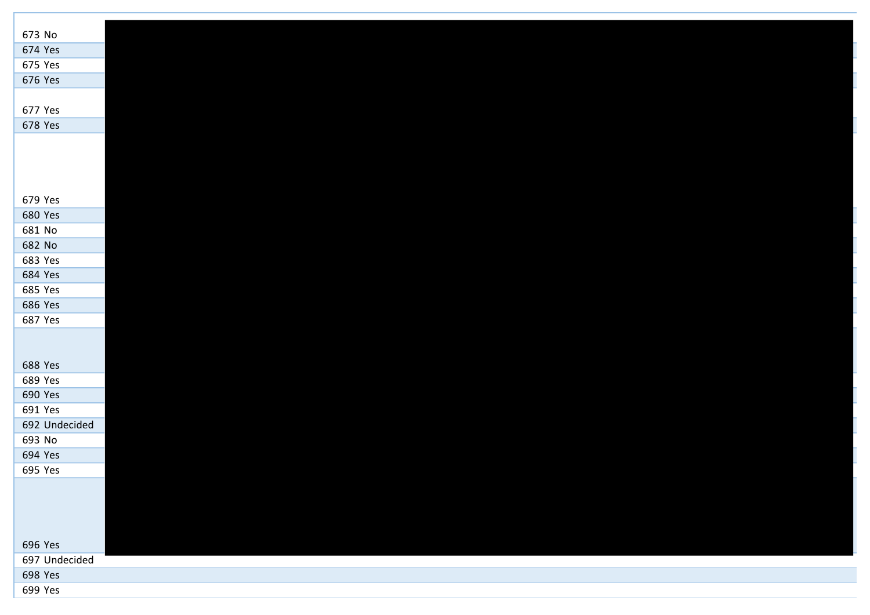| 673 No        |  |  |  |
|---------------|--|--|--|
| 674 Yes       |  |  |  |
| 675 Yes       |  |  |  |
| 676 Yes       |  |  |  |
|               |  |  |  |
| 677 Yes       |  |  |  |
| 678 Yes       |  |  |  |
|               |  |  |  |
|               |  |  |  |
|               |  |  |  |
|               |  |  |  |
| 679 Yes       |  |  |  |
| 680 Yes       |  |  |  |
| 681 No        |  |  |  |
| 682 No        |  |  |  |
| 683 Yes       |  |  |  |
| 684 Yes       |  |  |  |
| 685 Yes       |  |  |  |
| 686 Yes       |  |  |  |
| 687 Yes       |  |  |  |
|               |  |  |  |
|               |  |  |  |
| 688 Yes       |  |  |  |
| 689 Yes       |  |  |  |
| 690 Yes       |  |  |  |
| 691 Yes       |  |  |  |
| 692 Undecided |  |  |  |
| 693 No        |  |  |  |
| 694 Yes       |  |  |  |
| 695 Yes       |  |  |  |
|               |  |  |  |
|               |  |  |  |
|               |  |  |  |
|               |  |  |  |
| 696 Yes       |  |  |  |
| 697 Undecided |  |  |  |
| 698 Yes       |  |  |  |
| 699 Yes       |  |  |  |

I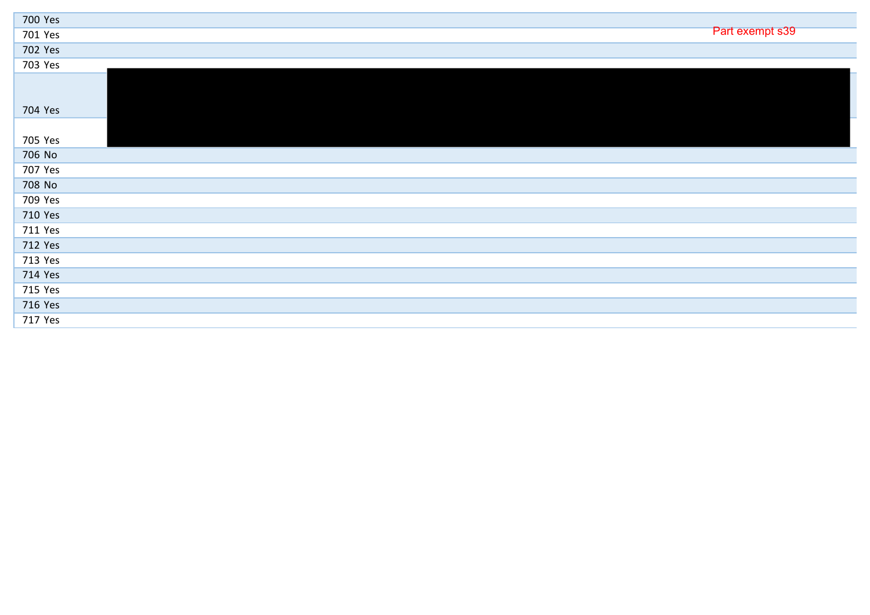| 700 Yes |                 |
|---------|-----------------|
| 701 Yes | Part exempt s39 |
| 702 Yes |                 |
| 703 Yes |                 |
| 704 Yes |                 |
|         |                 |
| 705 Yes |                 |
| 706 No  |                 |
| 707 Yes |                 |
| 708 No  |                 |
| 709 Yes |                 |
| 710 Yes |                 |
| 711 Yes |                 |
| 712 Yes |                 |
| 713 Yes |                 |
| 714 Yes |                 |
| 715 Yes |                 |
| 716 Yes |                 |
| 717 Yes |                 |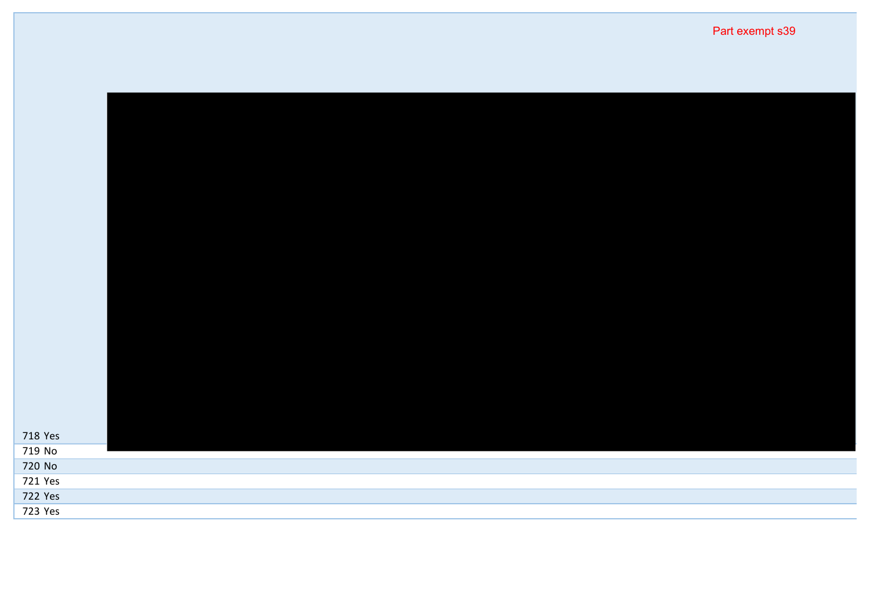| 718 Yes |  |  |
|---------|--|--|
| 719 No  |  |  |
| 720 No  |  |  |
| 721 Yes |  |  |
| 722 Yes |  |  |
| 723 Yes |  |  |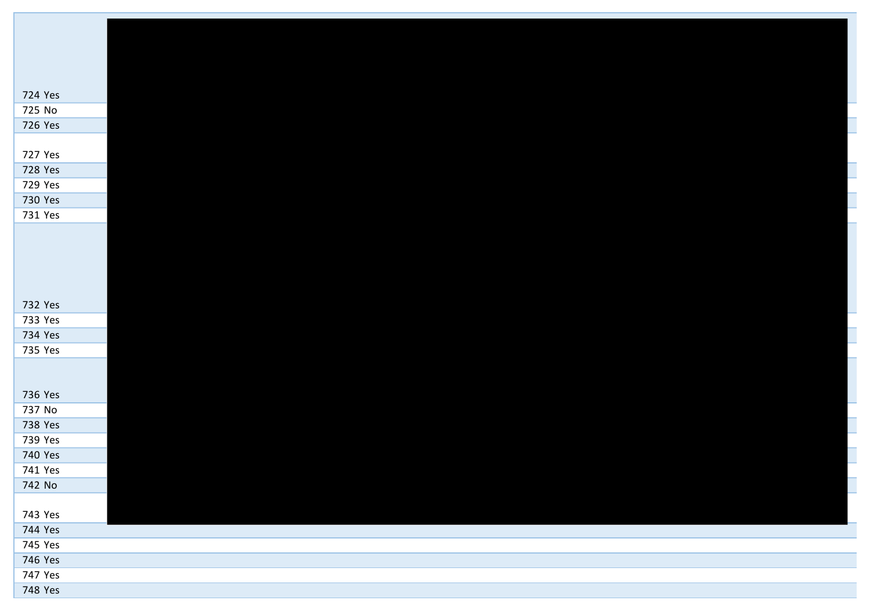| 724 Yes<br>725 No  |  |  |  |
|--------------------|--|--|--|
| 726 Yes            |  |  |  |
|                    |  |  |  |
| 727 Yes            |  |  |  |
| 728 Yes            |  |  |  |
| 729 Yes            |  |  |  |
| 730 Yes            |  |  |  |
| 731 Yes            |  |  |  |
|                    |  |  |  |
|                    |  |  |  |
|                    |  |  |  |
|                    |  |  |  |
|                    |  |  |  |
| 732 Yes            |  |  |  |
| 733 Yes            |  |  |  |
| 734 Yes            |  |  |  |
| 735 Yes            |  |  |  |
|                    |  |  |  |
|                    |  |  |  |
| 736 Yes            |  |  |  |
| 737 No             |  |  |  |
| 738 Yes            |  |  |  |
| 739 Yes<br>740 Yes |  |  |  |
| 741 Yes            |  |  |  |
| 742 No             |  |  |  |
|                    |  |  |  |
| 743 Yes            |  |  |  |
| 744 Yes            |  |  |  |
| 745 Yes            |  |  |  |
| 746 Yes            |  |  |  |
| 747 Yes            |  |  |  |
| 748 Yes            |  |  |  |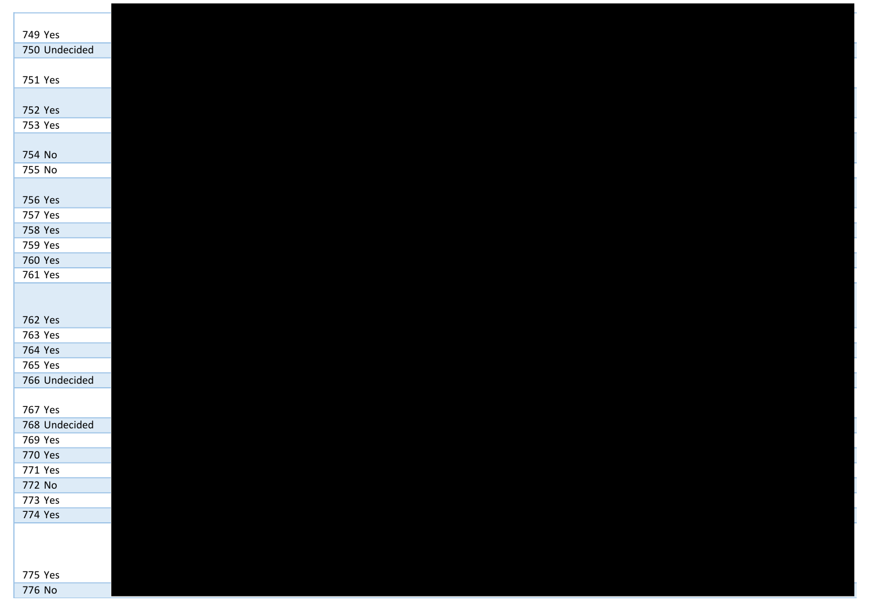| 749 Yes       |
|---------------|
| 750 Undecided |
|               |
| 751 Yes       |
|               |
| 752 Yes       |
| 753 Yes       |
|               |
|               |
| 754 No        |
| 755 No        |
|               |
| 756 Yes       |
| 757 Yes       |
| 758 Yes       |
| 759 Yes       |
| 760 Yes       |
| 761 Yes       |
|               |
|               |
| 762 Yes       |
| 763 Yes       |
| 764 Yes       |
| 765 Yes       |
|               |
| 766 Undecided |
|               |
| 767 Yes       |
| 768 Undecided |
| 769 Yes       |
| 770 Yes       |
| 771 Yes       |
| 772 No        |
| 773 Yes       |
| 774 Yes       |
|               |
|               |
|               |
| 775 Yes       |
| 776 No        |
|               |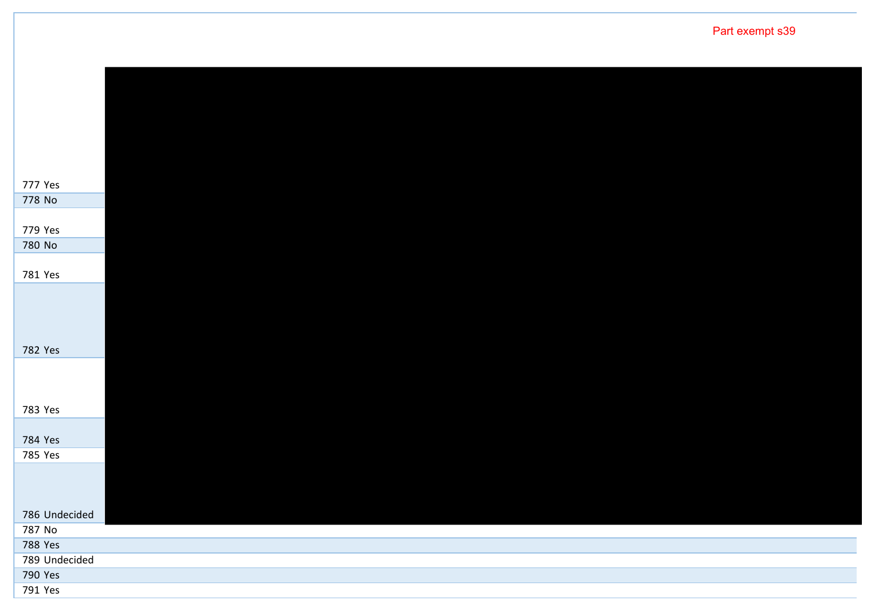Yes No Yes No Yes Yes Yes Yes Yes Undecided No Yes Undecided Yes Yes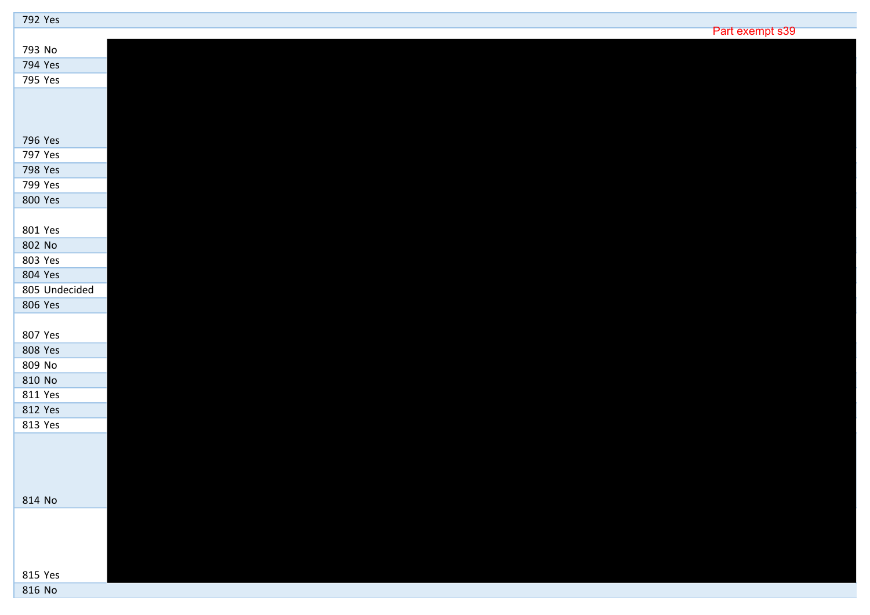| 792 Yes       |                 |
|---------------|-----------------|
|               | Part exempt s39 |
| 793 No        |                 |
| 794 Yes       |                 |
| 795 Yes       |                 |
|               |                 |
|               |                 |
|               |                 |
| 796 Yes       |                 |
| 797 Yes       |                 |
| 798 Yes       |                 |
| 799 Yes       |                 |
| 800 Yes       |                 |
|               |                 |
| 801 Yes       |                 |
| 802 No        |                 |
| 803 Yes       |                 |
| 804 Yes       |                 |
| 805 Undecided |                 |
| 806 Yes       |                 |
|               |                 |
| 807 Yes       |                 |
| 808 Yes       |                 |
| 809 No        |                 |
| 810 No        |                 |
| 811 Yes       |                 |
| 812 Yes       |                 |
| 813 Yes       |                 |
|               |                 |
|               |                 |
|               |                 |
|               |                 |
| 814 No        |                 |
|               |                 |
|               |                 |
|               |                 |
|               |                 |
| 815 Yes       |                 |
| 816 No        |                 |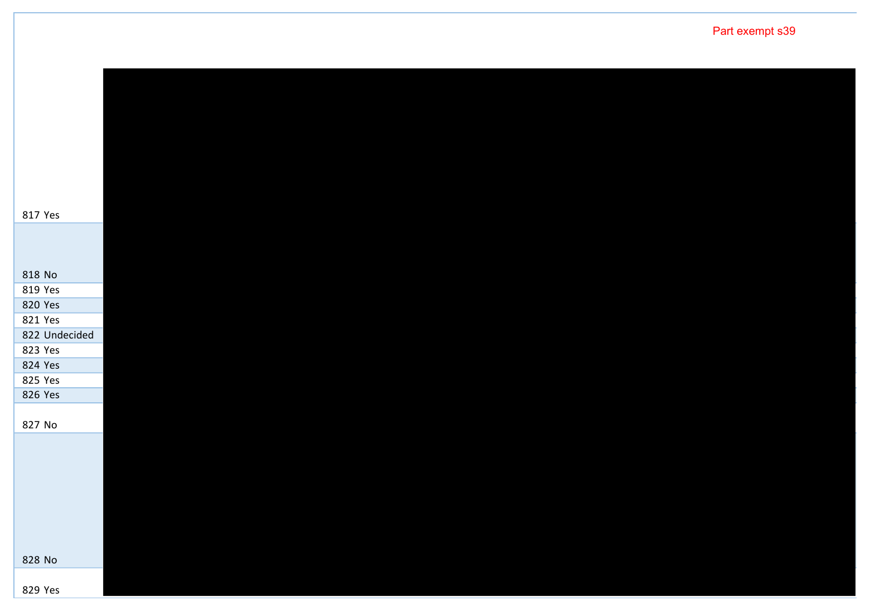Yes No Yes Yes Yes Undecided Yes Yes Yes Yes No No Yes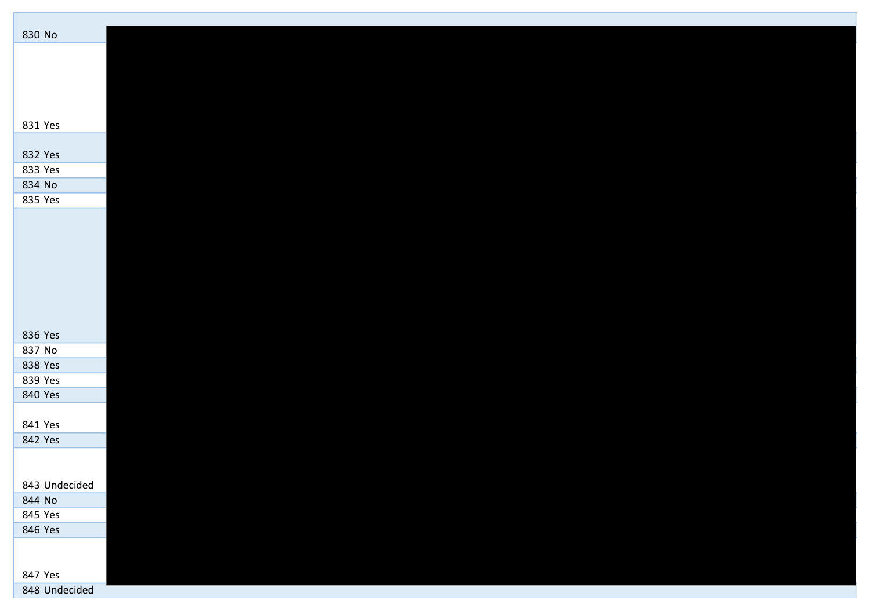| 830 No             |  |  |  |
|--------------------|--|--|--|
|                    |  |  |  |
|                    |  |  |  |
|                    |  |  |  |
|                    |  |  |  |
| 831 Yes            |  |  |  |
|                    |  |  |  |
| 832 Yes            |  |  |  |
| 833 Yes            |  |  |  |
| 834 No             |  |  |  |
| 835 Yes            |  |  |  |
|                    |  |  |  |
|                    |  |  |  |
|                    |  |  |  |
|                    |  |  |  |
|                    |  |  |  |
|                    |  |  |  |
|                    |  |  |  |
| 836 Yes            |  |  |  |
| 837 No             |  |  |  |
| 838 Yes            |  |  |  |
| 839 Yes<br>840 Yes |  |  |  |
|                    |  |  |  |
| 841 Yes            |  |  |  |
| 842 Yes            |  |  |  |
|                    |  |  |  |
|                    |  |  |  |
| 843 Undecided      |  |  |  |
| 844 No             |  |  |  |
| 845 Yes<br>846 Yes |  |  |  |
|                    |  |  |  |
|                    |  |  |  |
| 847 Yes            |  |  |  |
| 848 Undecided      |  |  |  |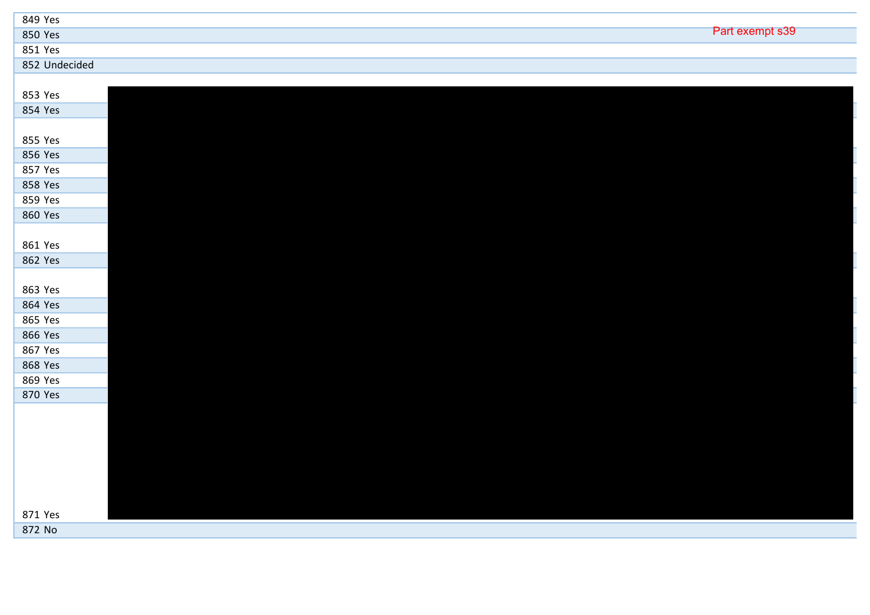| 849 Yes       |                 |
|---------------|-----------------|
| 850 Yes       | Part exempt s39 |
| 851 Yes       |                 |
| 852 Undecided |                 |
|               |                 |
| 853 Yes       |                 |
| 854 Yes       |                 |

| 855 Yes |  |  |  |
|---------|--|--|--|
| 856 Yes |  |  |  |
| 857 Yes |  |  |  |
| 858 Yes |  |  |  |
| 859 Yes |  |  |  |
| 860 Yes |  |  |  |
|         |  |  |  |

| 861 Yes |  |  |  |
|---------|--|--|--|
| 862 Yes |  |  |  |
|         |  |  |  |
| 863 Yes |  |  |  |

| 864 Yes |  |  |  |
|---------|--|--|--|
| 865 Yes |  |  |  |
| 866 Yes |  |  |  |
| 867 Yes |  |  |  |
| 868 Yes |  |  |  |

| 869 Yes |  |  |  |
|---------|--|--|--|
|         |  |  |  |
|         |  |  |  |
|         |  |  |  |
|         |  |  |  |
|         |  |  |  |
| 870 Yes |  |  |  |
|         |  |  |  |
|         |  |  |  |
|         |  |  |  |
|         |  |  |  |
|         |  |  |  |
|         |  |  |  |
|         |  |  |  |
|         |  |  |  |
|         |  |  |  |
|         |  |  |  |
|         |  |  |  |
|         |  |  |  |
|         |  |  |  |
|         |  |  |  |
|         |  |  |  |
|         |  |  |  |
|         |  |  |  |
|         |  |  |  |
|         |  |  |  |
|         |  |  |  |
|         |  |  |  |
|         |  |  |  |
|         |  |  |  |

| 871 Yes |  |  |  |
|---------|--|--|--|
| 872 No  |  |  |  |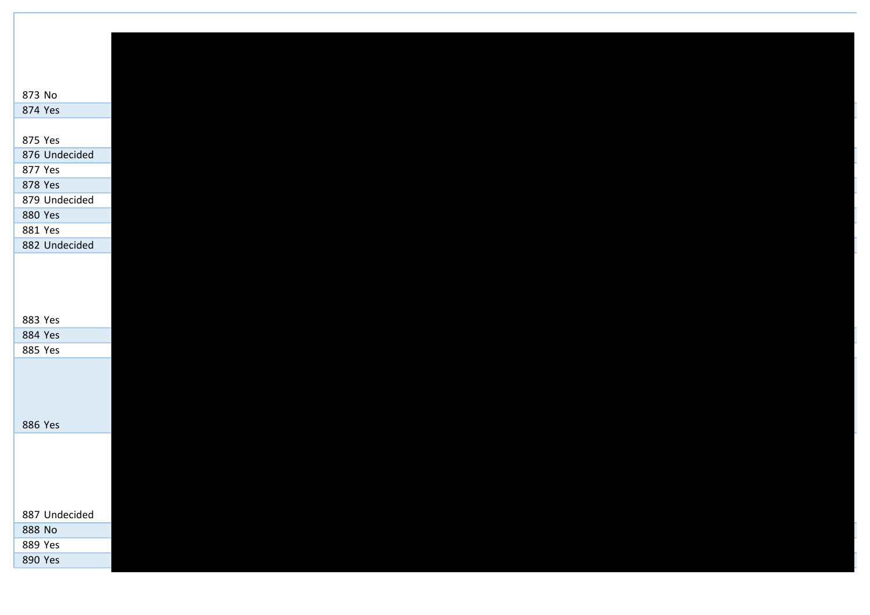| 873 No        |  |  |  |  |
|---------------|--|--|--|--|
| 874 Yes       |  |  |  |  |
| 875 Yes       |  |  |  |  |
| 876 Undecided |  |  |  |  |
| 877 Yes       |  |  |  |  |
| 878 Yes       |  |  |  |  |
| 879 Undecided |  |  |  |  |
| 880 Yes       |  |  |  |  |
| 881 Yes       |  |  |  |  |
| 882 Undecided |  |  |  |  |
|               |  |  |  |  |
|               |  |  |  |  |
|               |  |  |  |  |
|               |  |  |  |  |
| 883 Yes       |  |  |  |  |
| 884 Yes       |  |  |  |  |
| 885 Yes       |  |  |  |  |
|               |  |  |  |  |
|               |  |  |  |  |
|               |  |  |  |  |
|               |  |  |  |  |
| 886 Yes       |  |  |  |  |
|               |  |  |  |  |
|               |  |  |  |  |
|               |  |  |  |  |
|               |  |  |  |  |
| 887 Undecided |  |  |  |  |
| 888 No        |  |  |  |  |
| 889 Yes       |  |  |  |  |
| 890 Yes       |  |  |  |  |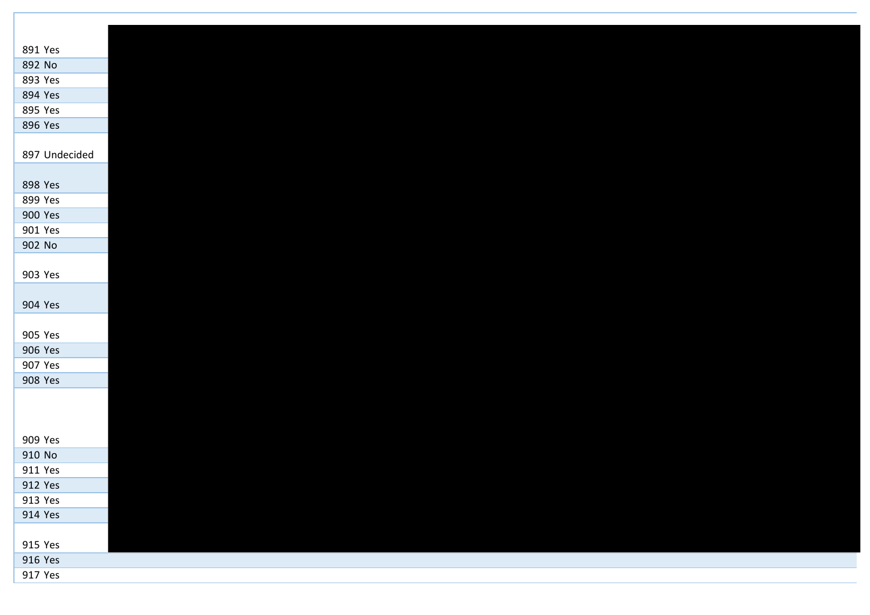| 891 Yes       |  |  |  |
|---------------|--|--|--|
| 892 No        |  |  |  |
| 893 Yes       |  |  |  |
| 894 Yes       |  |  |  |
| 895 Yes       |  |  |  |
| 896 Yes       |  |  |  |
|               |  |  |  |
| 897 Undecided |  |  |  |
| 898 Yes       |  |  |  |
| 899 Yes       |  |  |  |
| 900 Yes       |  |  |  |
| 901 Yes       |  |  |  |
| 902 No        |  |  |  |
|               |  |  |  |
| 903 Yes       |  |  |  |
| 904 Yes       |  |  |  |
|               |  |  |  |
| 905 Yes       |  |  |  |
| 906 Yes       |  |  |  |
| 907 Yes       |  |  |  |
| 908 Yes       |  |  |  |
|               |  |  |  |
|               |  |  |  |
|               |  |  |  |
| 909 Yes       |  |  |  |
| 910 No        |  |  |  |
| 911 Yes       |  |  |  |
| 912 Yes       |  |  |  |
| 913 Yes       |  |  |  |
| 914 Yes       |  |  |  |
|               |  |  |  |
| 915 Yes       |  |  |  |
| 916 Yes       |  |  |  |
| 917 Yes       |  |  |  |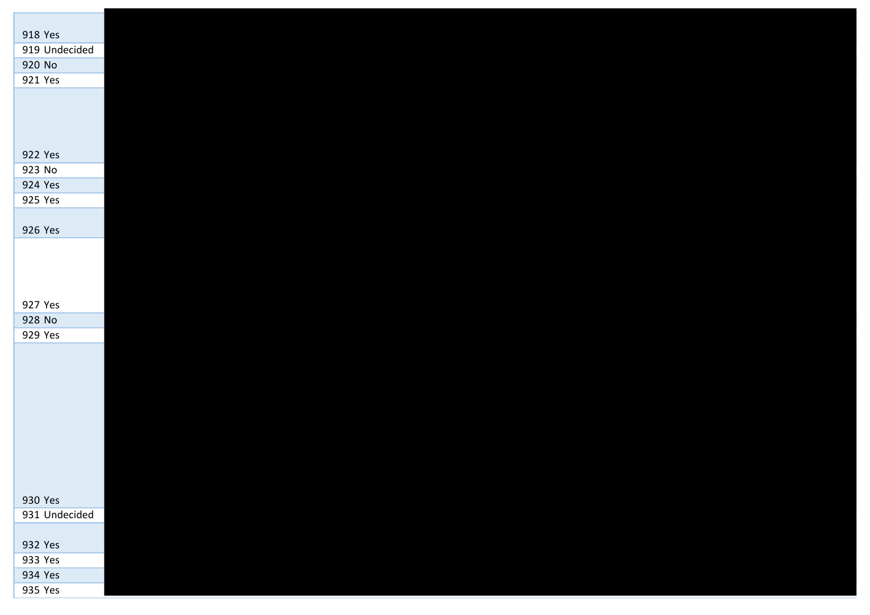| 918 Yes       |  |  |  |
|---------------|--|--|--|
| 919 Undecided |  |  |  |
| 920 No        |  |  |  |
| 921 Yes       |  |  |  |
|               |  |  |  |
|               |  |  |  |
|               |  |  |  |
| 922 Yes       |  |  |  |
| 923 No        |  |  |  |
| 924 Yes       |  |  |  |
| 925 Yes       |  |  |  |
|               |  |  |  |
| 926 Yes       |  |  |  |
|               |  |  |  |
|               |  |  |  |
|               |  |  |  |
|               |  |  |  |
| 927 Yes       |  |  |  |
| 928 No        |  |  |  |
| 929 Yes       |  |  |  |
|               |  |  |  |
|               |  |  |  |
|               |  |  |  |
|               |  |  |  |
|               |  |  |  |
|               |  |  |  |
|               |  |  |  |
|               |  |  |  |
|               |  |  |  |
|               |  |  |  |
| 930 Yes       |  |  |  |
| 931 Undecided |  |  |  |
|               |  |  |  |
| 932 Yes       |  |  |  |
| 933 Yes       |  |  |  |
| 934 Yes       |  |  |  |
| 935 Yes       |  |  |  |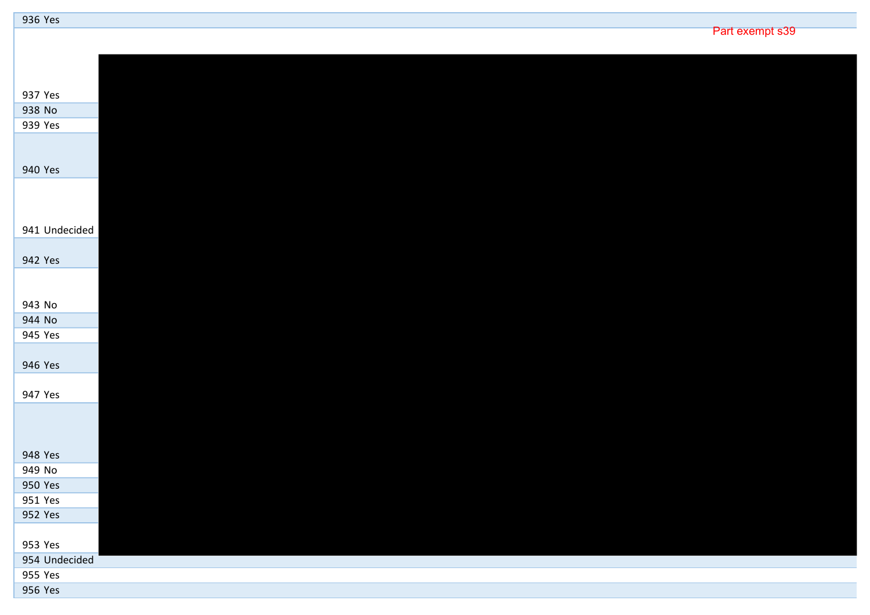| 936 Yes       |                 |  |
|---------------|-----------------|--|
|               | Part exempt s39 |  |
|               |                 |  |
|               |                 |  |
|               |                 |  |
| 937 Yes       |                 |  |
| 938 No        |                 |  |
| 939 Yes       |                 |  |
|               |                 |  |
|               |                 |  |
| 940 Yes       |                 |  |
|               |                 |  |
|               |                 |  |
|               |                 |  |
| 941 Undecided |                 |  |
|               |                 |  |
| 942 Yes       |                 |  |
|               |                 |  |
|               |                 |  |
| 943 No        |                 |  |
| 944 No        |                 |  |
| 945 Yes       |                 |  |
|               |                 |  |
| 946 Yes       |                 |  |
|               |                 |  |
| 947 Yes       |                 |  |
|               |                 |  |
|               |                 |  |
|               |                 |  |
| 948 Yes       |                 |  |
| 949 No        |                 |  |
| 950 Yes       |                 |  |
| 951 Yes       |                 |  |
| 952 Yes       |                 |  |
|               |                 |  |
| 953 Yes       |                 |  |
| 954 Undecided |                 |  |
| 955 Yes       |                 |  |
| 956 Yes       |                 |  |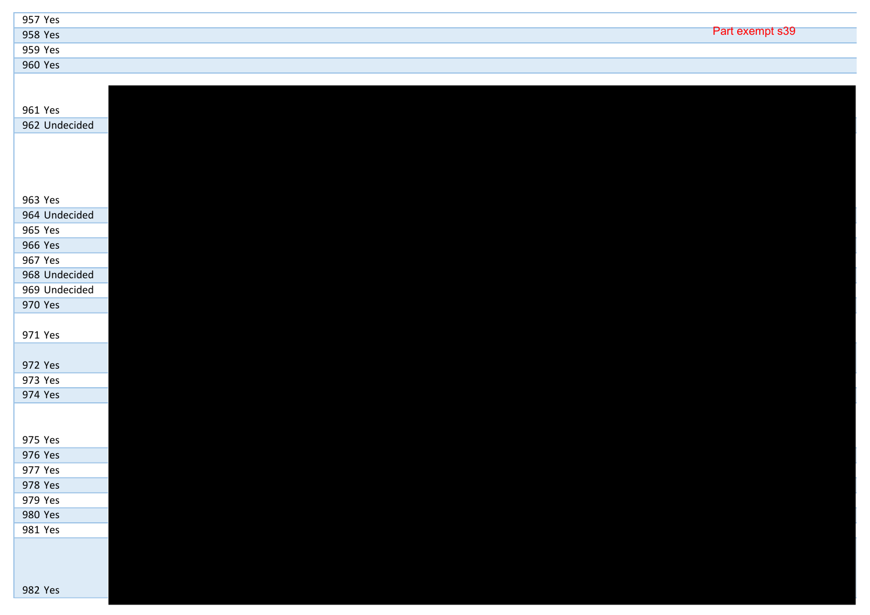| 957 Yes |                 |
|---------|-----------------|
| 958 Yes | Part exempt s39 |
| 959 Yes |                 |
| 960 Yes |                 |

| 961 Yes       |
|---------------|
| 962 Undecided |
|               |
|               |
|               |
|               |
|               |
| 963 Yes       |
| 964 Undecided |
| 965 Yes       |
| 966 Yes       |
| 967 Yes       |
| 968 Undecided |
| 969 Undecided |
| 970 Yes       |
|               |
| 971 Yes       |
|               |
|               |
| 972 Yes       |
| 973 Yes       |
| 974 Yes       |
|               |
|               |
| 975 Yes       |
| 976 Yes       |
| 977 Yes       |
| 978 Yes       |
| 979 Yes       |
|               |
| 980 Yes       |
| 981 Yes       |
|               |
|               |
|               |
| 982 Yes       |
|               |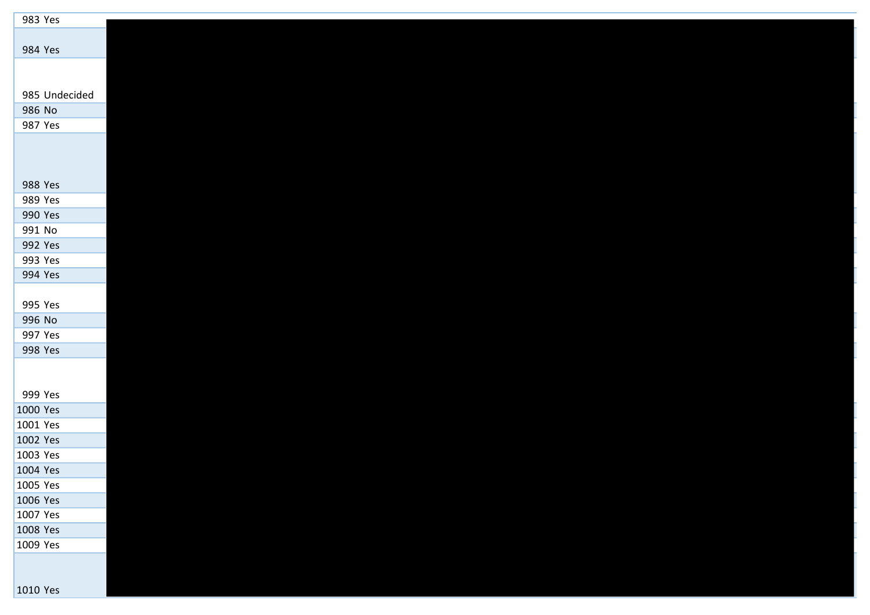| 983 Yes              |  |  |  |
|----------------------|--|--|--|
|                      |  |  |  |
| 984 Yes              |  |  |  |
|                      |  |  |  |
|                      |  |  |  |
| 985 Undecided        |  |  |  |
| 986 No               |  |  |  |
| 987 Yes              |  |  |  |
|                      |  |  |  |
|                      |  |  |  |
|                      |  |  |  |
| 988 Yes<br>989 Yes   |  |  |  |
| 990 Yes              |  |  |  |
| 991 No               |  |  |  |
| 992 Yes              |  |  |  |
| 993 Yes              |  |  |  |
| 994 Yes              |  |  |  |
|                      |  |  |  |
| 995 Yes              |  |  |  |
| 996 No               |  |  |  |
| 997 Yes              |  |  |  |
| 998 Yes              |  |  |  |
|                      |  |  |  |
|                      |  |  |  |
| 999 Yes              |  |  |  |
| 1000 Yes             |  |  |  |
| 1001 Yes             |  |  |  |
| 1002 Yes<br>1003 Yes |  |  |  |
| 1004 Yes             |  |  |  |
| 1005 Yes             |  |  |  |
| 1006 Yes             |  |  |  |
| 1007 Yes             |  |  |  |
| 1008 Yes             |  |  |  |
| 1009 Yes             |  |  |  |
|                      |  |  |  |
|                      |  |  |  |
| 1010 Yes             |  |  |  |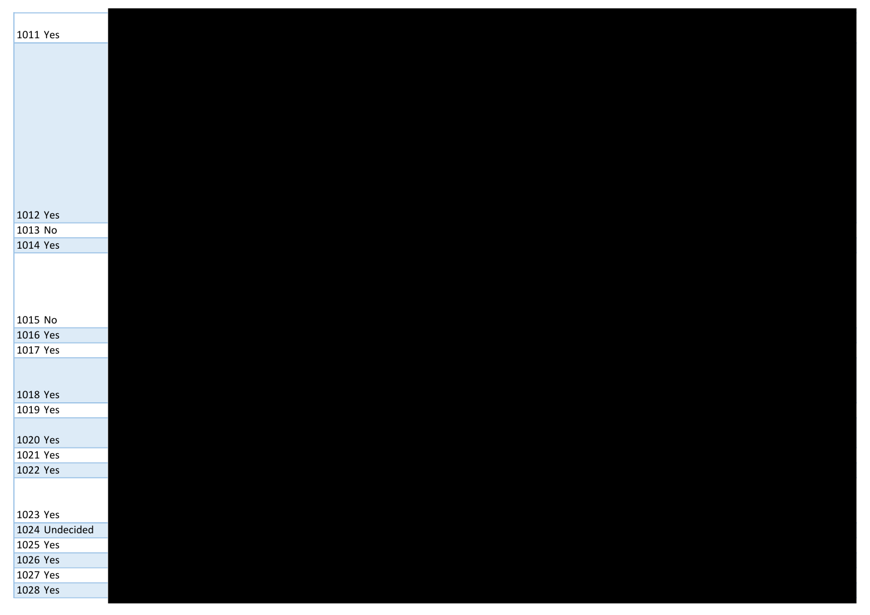| 1011 Yes       |  |  |  |
|----------------|--|--|--|
|                |  |  |  |
|                |  |  |  |
|                |  |  |  |
|                |  |  |  |
|                |  |  |  |
|                |  |  |  |
|                |  |  |  |
| 1012 Yes       |  |  |  |
| 1013 No        |  |  |  |
| 1014 Yes       |  |  |  |
|                |  |  |  |
|                |  |  |  |
|                |  |  |  |
| 1015 No        |  |  |  |
| 1016 Yes       |  |  |  |
| 1017 Yes       |  |  |  |
|                |  |  |  |
|                |  |  |  |
| 1018 Yes       |  |  |  |
| 1019 Yes       |  |  |  |
| 1020 Yes       |  |  |  |
| 1021 Yes       |  |  |  |
| 1022 Yes       |  |  |  |
|                |  |  |  |
| 1023 Yes       |  |  |  |
| 1024 Undecided |  |  |  |
| 1025 Yes       |  |  |  |
| 1026 Yes       |  |  |  |
| 1027 Yes       |  |  |  |
| 1028 Yes       |  |  |  |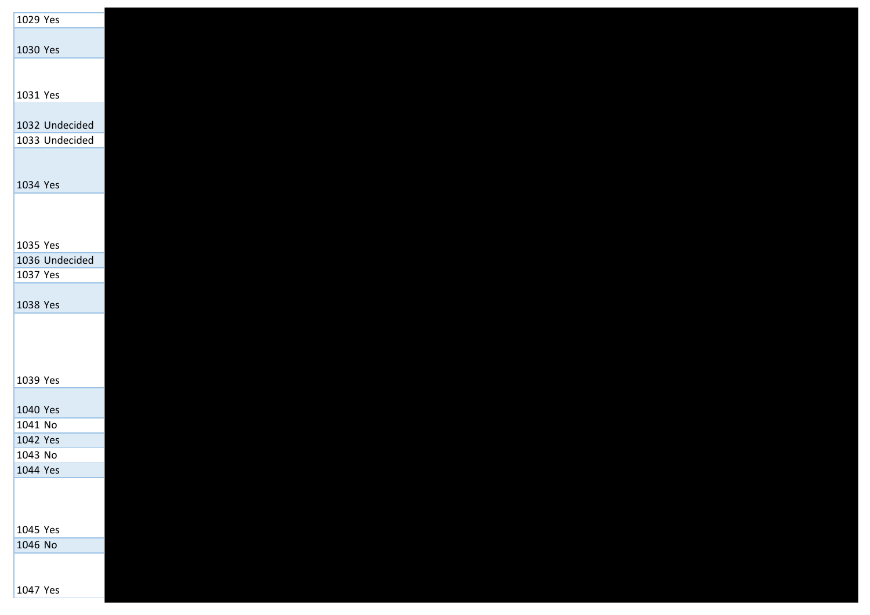| 1029 Yes            |  |  |  |
|---------------------|--|--|--|
|                     |  |  |  |
| 1030 Yes            |  |  |  |
|                     |  |  |  |
|                     |  |  |  |
| 1031 Yes            |  |  |  |
|                     |  |  |  |
| 1032 Undecided      |  |  |  |
| 1033 Undecided      |  |  |  |
|                     |  |  |  |
| 1034 Yes            |  |  |  |
|                     |  |  |  |
|                     |  |  |  |
|                     |  |  |  |
| 1035 Yes            |  |  |  |
| 1036 Undecided      |  |  |  |
| 1037 Yes            |  |  |  |
|                     |  |  |  |
| 1038 Yes            |  |  |  |
|                     |  |  |  |
|                     |  |  |  |
|                     |  |  |  |
|                     |  |  |  |
| 1039 Yes            |  |  |  |
|                     |  |  |  |
| 1040 Yes            |  |  |  |
| 1041 No<br>1042 Yes |  |  |  |
| 1043 No             |  |  |  |
| 1044 Yes            |  |  |  |
|                     |  |  |  |
|                     |  |  |  |
|                     |  |  |  |
| 1045 Yes            |  |  |  |
| 1046 No             |  |  |  |
|                     |  |  |  |
|                     |  |  |  |
| 1047 Yes            |  |  |  |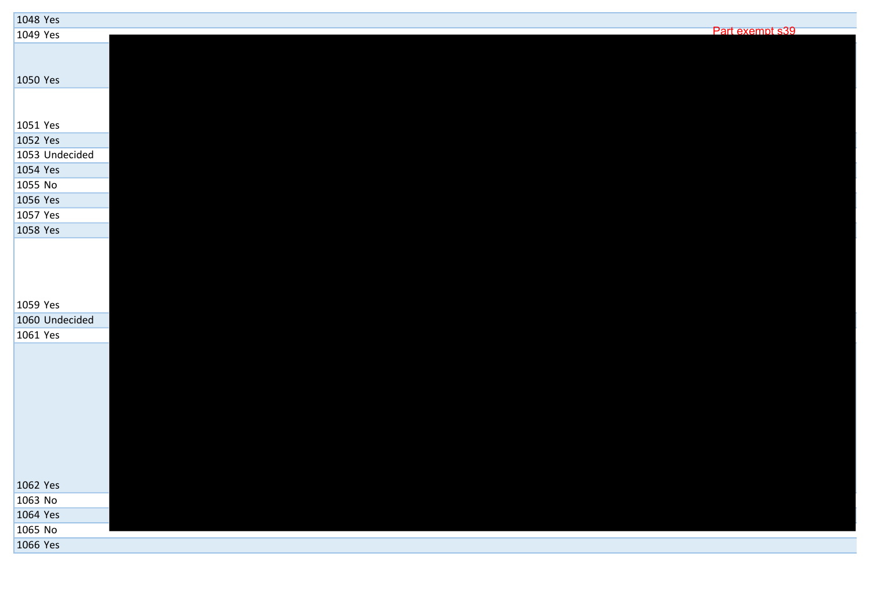| 1048 Yes       |                 |
|----------------|-----------------|
| 1049 Yes       | Part exempt s39 |
|                |                 |
|                |                 |
| 1050 Yes       |                 |
|                |                 |
|                |                 |
| 1051 Yes       |                 |
| 1052 Yes       |                 |
| 1053 Undecided |                 |
| 1054 Yes       |                 |
| 1055 No        |                 |
| 1056 Yes       |                 |
| 1057 Yes       |                 |
| 1058 Yes       |                 |
|                |                 |
|                |                 |
|                |                 |
|                |                 |
| 1059 Yes       |                 |
| 1060 Undecided |                 |
| 1061 Yes       |                 |
|                |                 |
|                |                 |
|                |                 |
|                |                 |
|                |                 |
|                |                 |
|                |                 |
|                |                 |
|                |                 |
| 1062 Yes       |                 |
| 1063 No        |                 |
| 1064 Yes       |                 |
| 1065 No        |                 |
| 1066 Yes       |                 |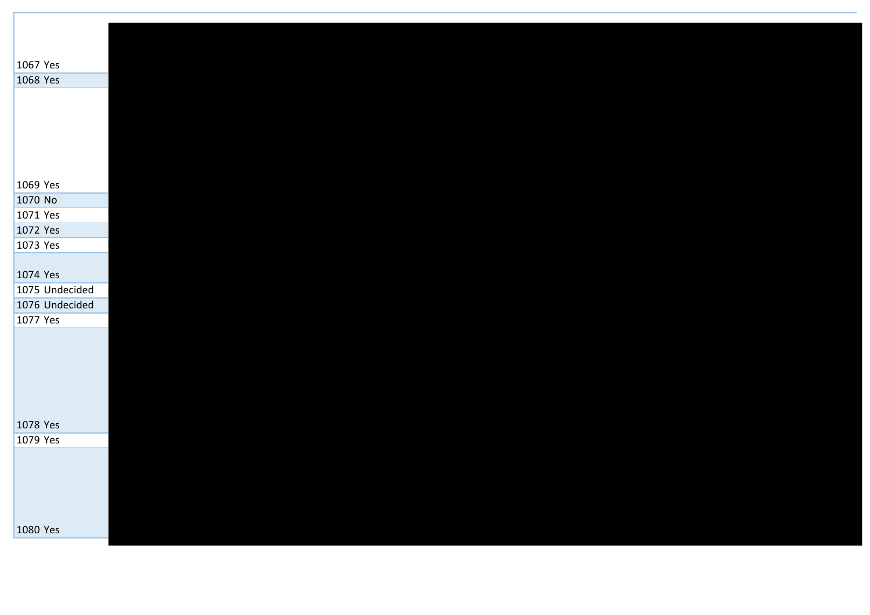| 1067 Yes       |  |  |  |  |  |
|----------------|--|--|--|--|--|
| 1068 Yes       |  |  |  |  |  |
|                |  |  |  |  |  |
|                |  |  |  |  |  |
|                |  |  |  |  |  |
|                |  |  |  |  |  |
|                |  |  |  |  |  |
| 1069 Yes       |  |  |  |  |  |
| 1070 No        |  |  |  |  |  |
| 1071 Yes       |  |  |  |  |  |
| 1072 Yes       |  |  |  |  |  |
| 1073 Yes       |  |  |  |  |  |
|                |  |  |  |  |  |
| 1074 Yes       |  |  |  |  |  |
| 1075 Undecided |  |  |  |  |  |
| 1076 Undecided |  |  |  |  |  |
| 1077 Yes       |  |  |  |  |  |
|                |  |  |  |  |  |
|                |  |  |  |  |  |
|                |  |  |  |  |  |
|                |  |  |  |  |  |
|                |  |  |  |  |  |
| 1078 Yes       |  |  |  |  |  |
| 1079 Yes       |  |  |  |  |  |
|                |  |  |  |  |  |
|                |  |  |  |  |  |
|                |  |  |  |  |  |
|                |  |  |  |  |  |
|                |  |  |  |  |  |
| 1080 Yes       |  |  |  |  |  |
|                |  |  |  |  |  |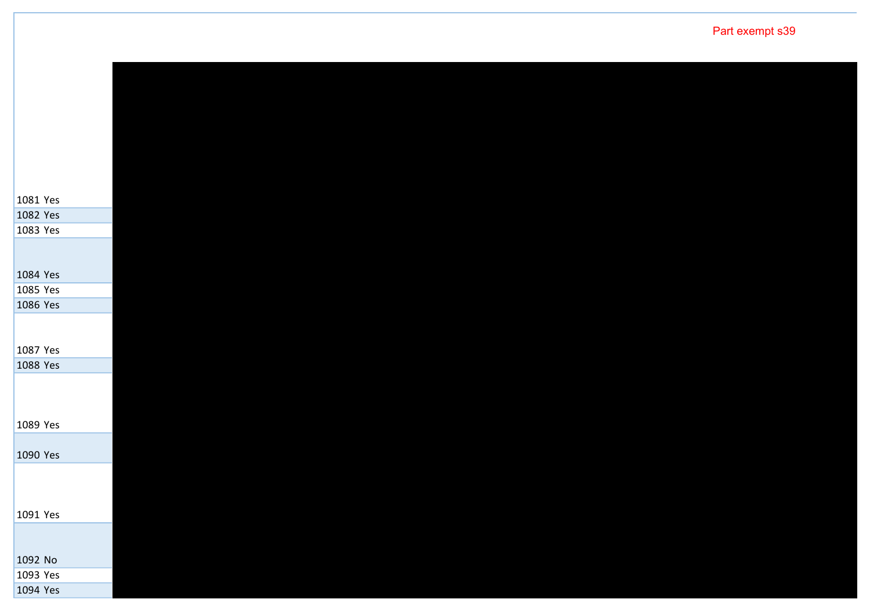| 1081 Yes |  |  |  |
|----------|--|--|--|
| 1082 Yes |  |  |  |
| 1083 Yes |  |  |  |
|          |  |  |  |
|          |  |  |  |
| 1084 Yes |  |  |  |
| 1085 Yes |  |  |  |
| 1086 Yes |  |  |  |
|          |  |  |  |
|          |  |  |  |
| 1087 Yes |  |  |  |
| 1088 Yes |  |  |  |
|          |  |  |  |
|          |  |  |  |
| 1089 Yes |  |  |  |
|          |  |  |  |
| 1090 Yes |  |  |  |
|          |  |  |  |
|          |  |  |  |
|          |  |  |  |
| 1091 Yes |  |  |  |
|          |  |  |  |
|          |  |  |  |
| 1092 No  |  |  |  |
| 1093 Yes |  |  |  |
| 1094 Yes |  |  |  |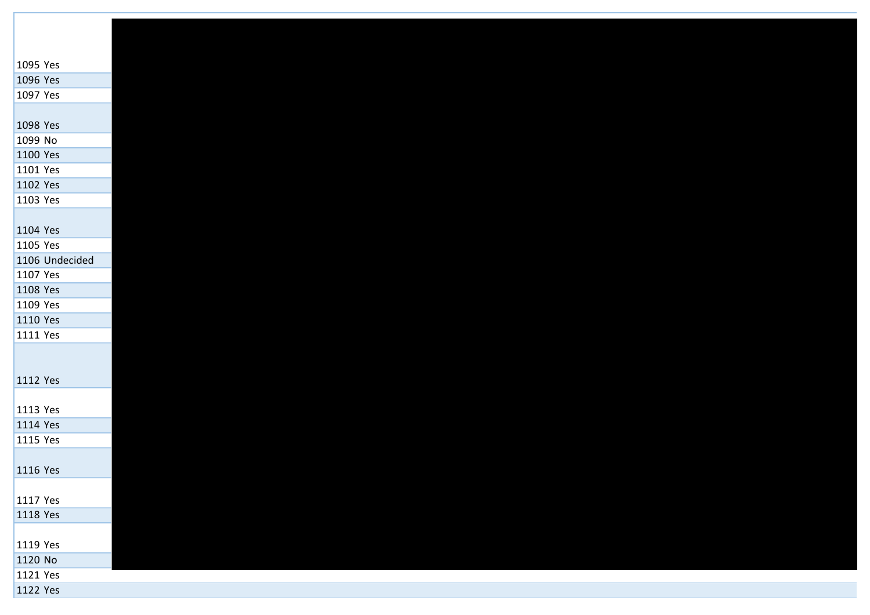| 1095 Yes       |  |  |  |
|----------------|--|--|--|
| 1096 Yes       |  |  |  |
| 1097 Yes       |  |  |  |
|                |  |  |  |
| 1098 Yes       |  |  |  |
| 1099 No        |  |  |  |
| 1100 Yes       |  |  |  |
| 1101 Yes       |  |  |  |
| 1102 Yes       |  |  |  |
| 1103 Yes       |  |  |  |
|                |  |  |  |
| 1104 Yes       |  |  |  |
| 1105 Yes       |  |  |  |
| 1106 Undecided |  |  |  |
| 1107 Yes       |  |  |  |
| 1108 Yes       |  |  |  |
| 1109 Yes       |  |  |  |
| 1110 Yes       |  |  |  |
| 1111 Yes       |  |  |  |
|                |  |  |  |
|                |  |  |  |
| 1112 Yes       |  |  |  |
|                |  |  |  |
| 1113 Yes       |  |  |  |
| 1114 Yes       |  |  |  |
| 1115 Yes       |  |  |  |
| 1116 Yes       |  |  |  |
|                |  |  |  |
| 1117 Yes       |  |  |  |
| 1118 Yes       |  |  |  |
|                |  |  |  |
| 1119 Yes       |  |  |  |
| 1120 No        |  |  |  |
| 1121 Yes       |  |  |  |
| 1122 Yes       |  |  |  |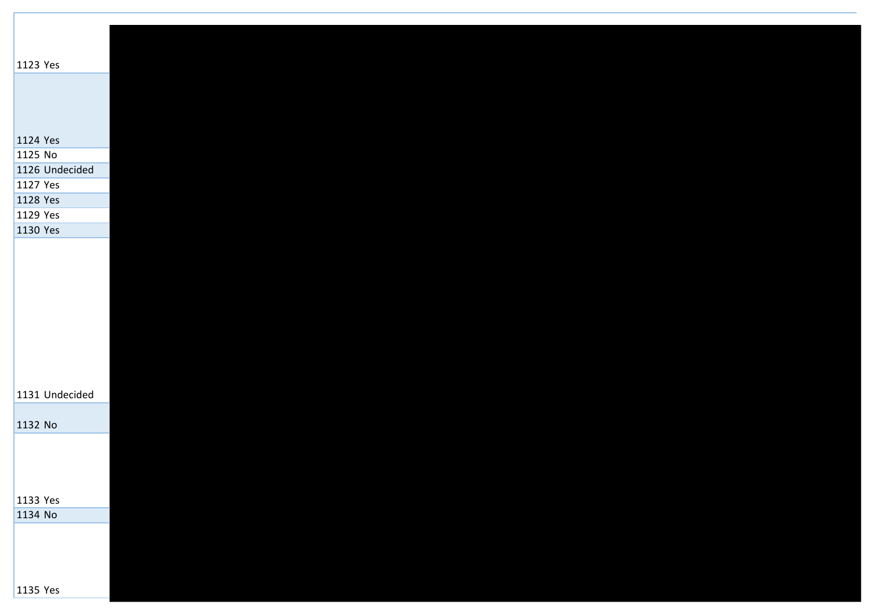| 1123 Yes       |  |  |  |  |
|----------------|--|--|--|--|
|                |  |  |  |  |
|                |  |  |  |  |
|                |  |  |  |  |
|                |  |  |  |  |
| 1124 Yes       |  |  |  |  |
| 1125 No        |  |  |  |  |
| 1126 Undecided |  |  |  |  |
| 1127 Yes       |  |  |  |  |
| 1128 Yes       |  |  |  |  |
| 1129 Yes       |  |  |  |  |
| 1130 Yes       |  |  |  |  |
|                |  |  |  |  |
|                |  |  |  |  |
|                |  |  |  |  |
|                |  |  |  |  |
|                |  |  |  |  |
|                |  |  |  |  |
|                |  |  |  |  |
|                |  |  |  |  |
|                |  |  |  |  |
| 1131 Undecided |  |  |  |  |
|                |  |  |  |  |
| 1132 No        |  |  |  |  |
|                |  |  |  |  |
|                |  |  |  |  |
|                |  |  |  |  |
| 1133 Yes       |  |  |  |  |
| 1134 No        |  |  |  |  |
|                |  |  |  |  |
|                |  |  |  |  |
|                |  |  |  |  |
|                |  |  |  |  |
| 1135 Yes       |  |  |  |  |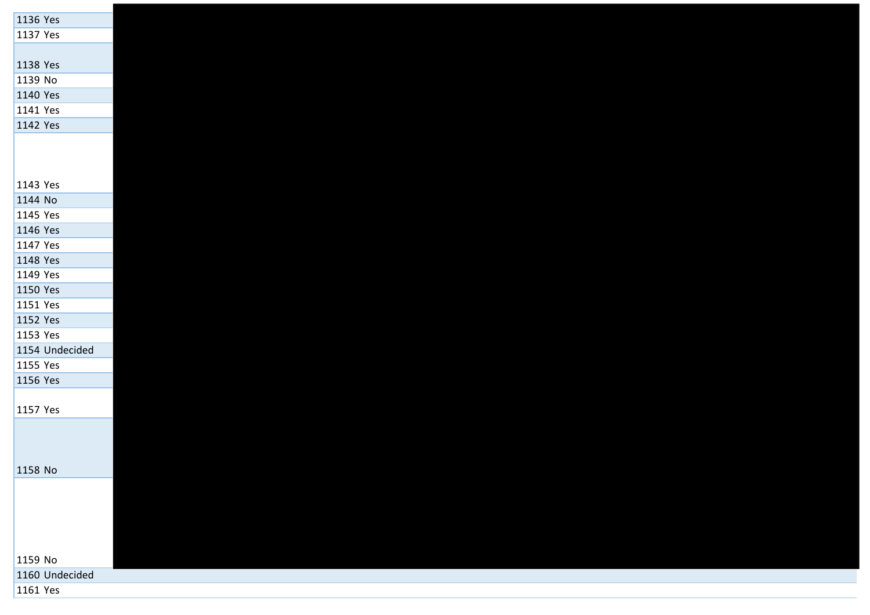| 1136 Yes       |  |  |
|----------------|--|--|
| 1137 Yes       |  |  |
|                |  |  |
| 1138 Yes       |  |  |
| 1139 No        |  |  |
| 1140 Yes       |  |  |
| 1141 Yes       |  |  |
| 1142 Yes       |  |  |
|                |  |  |
|                |  |  |
|                |  |  |
| 1143 Yes       |  |  |
| 1144 No        |  |  |
| 1145 Yes       |  |  |
| 1146 Yes       |  |  |
| 1147 Yes       |  |  |
| 1148 Yes       |  |  |
| 1149 Yes       |  |  |
| 1150 Yes       |  |  |
| 1151 Yes       |  |  |
| 1152 Yes       |  |  |
| 1153 Yes       |  |  |
| 1154 Undecided |  |  |
| 1155 Yes       |  |  |
| 1156 Yes       |  |  |
|                |  |  |
| 1157 Yes       |  |  |
|                |  |  |
|                |  |  |
|                |  |  |
| 1158 No        |  |  |
|                |  |  |
|                |  |  |
|                |  |  |
|                |  |  |
|                |  |  |
| 1159 No        |  |  |
| 1160 Undecided |  |  |
| 1161 Yes       |  |  |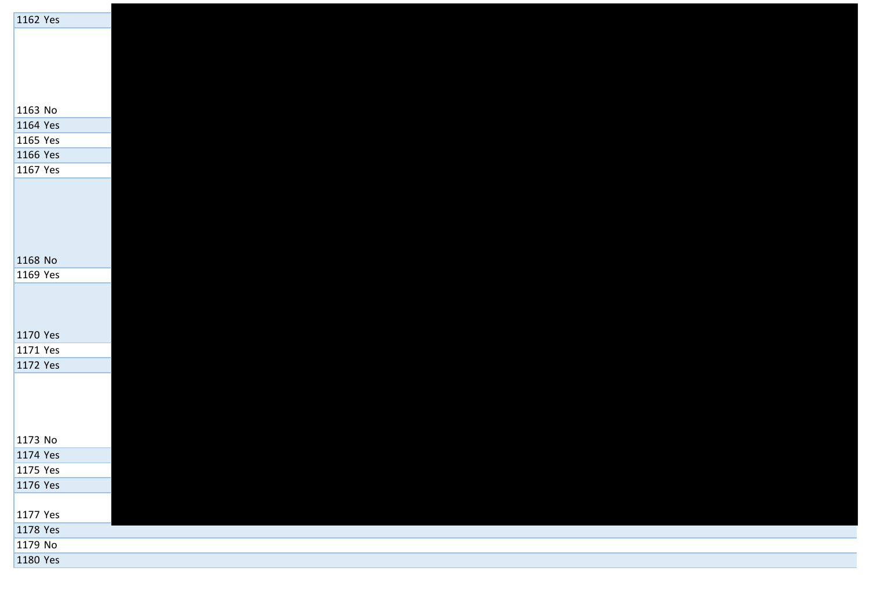| 1162 Yes  |  |
|-----------|--|
|           |  |
|           |  |
|           |  |
|           |  |
|           |  |
| $1163$ No |  |
| 1164 Yes  |  |
| 1165 Yes  |  |
| 1166 Yes  |  |
| 1167 Yes  |  |
|           |  |
|           |  |
|           |  |
|           |  |
|           |  |
| 1168 No   |  |
| 1169 Yes  |  |
|           |  |
|           |  |
|           |  |
| 1170 Yes  |  |
| 1171 Yes  |  |
| 1172 Yes  |  |
|           |  |
|           |  |
|           |  |
|           |  |
| 1173 No   |  |
| 1174 Yes  |  |
| 1175 Yes  |  |
| 1176 Yes  |  |
|           |  |
| 1177 Yes  |  |
| 1178 Yes  |  |
| 1179 No   |  |
| 1180 Yes  |  |
|           |  |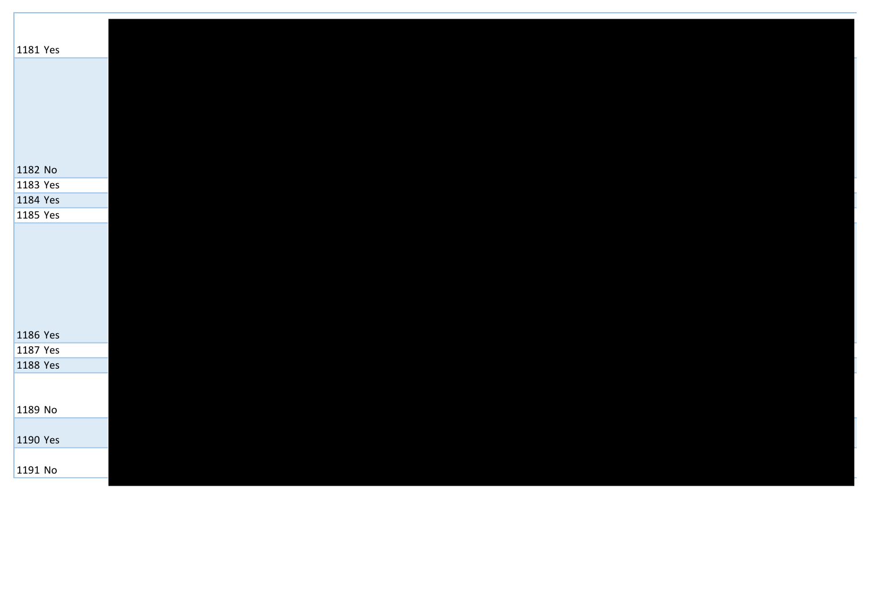| 1181 Yes             |  |  |  |  |
|----------------------|--|--|--|--|
|                      |  |  |  |  |
|                      |  |  |  |  |
|                      |  |  |  |  |
|                      |  |  |  |  |
|                      |  |  |  |  |
|                      |  |  |  |  |
|                      |  |  |  |  |
| 1182 No              |  |  |  |  |
| 1183 Yes             |  |  |  |  |
| 1184 Yes             |  |  |  |  |
| 1185 Yes             |  |  |  |  |
|                      |  |  |  |  |
|                      |  |  |  |  |
|                      |  |  |  |  |
|                      |  |  |  |  |
|                      |  |  |  |  |
|                      |  |  |  |  |
|                      |  |  |  |  |
| 1186 Yes<br>1187 Yes |  |  |  |  |
| 1188 Yes             |  |  |  |  |
|                      |  |  |  |  |
|                      |  |  |  |  |
| 1189 No              |  |  |  |  |
|                      |  |  |  |  |
| 1190 Yes             |  |  |  |  |
|                      |  |  |  |  |
| 1191 No              |  |  |  |  |
|                      |  |  |  |  |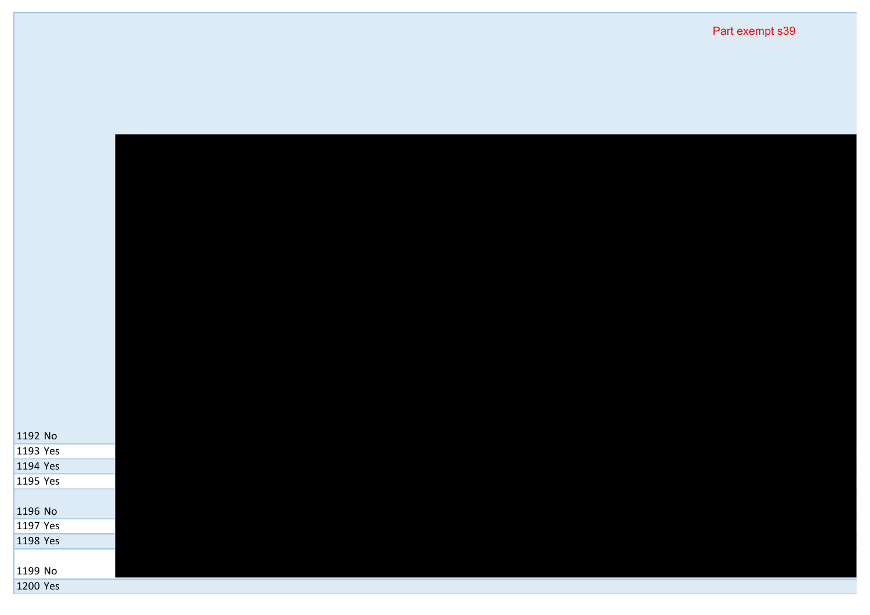| 1192 No  |  |  |  |
|----------|--|--|--|
| 1193 Yes |  |  |  |
| 1194 Yes |  |  |  |
| 1195 Yes |  |  |  |
| 1196 No  |  |  |  |
| 1197 Yes |  |  |  |
| 1198 Yes |  |  |  |
|          |  |  |  |
| 1199 No  |  |  |  |
| 1200 Yes |  |  |  |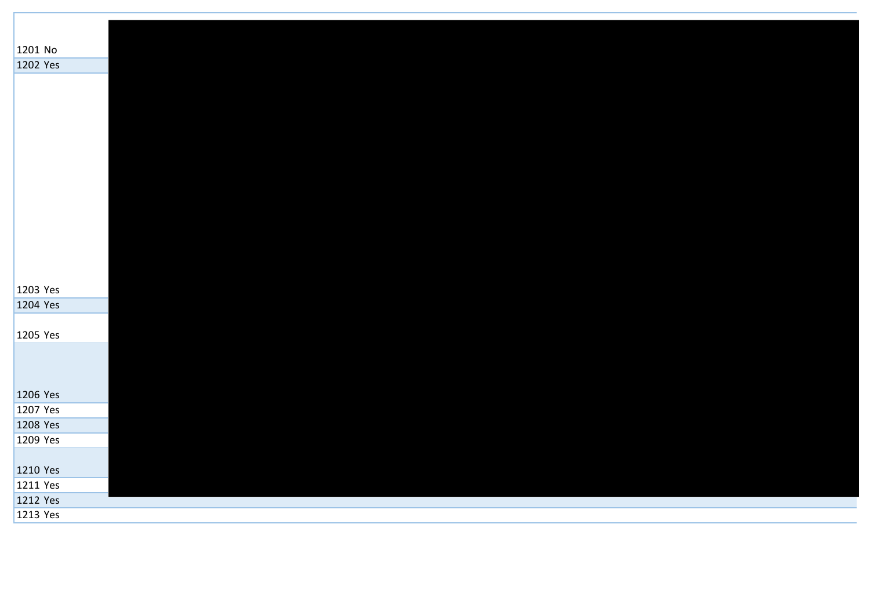| 1201 No  |  |  |  |
|----------|--|--|--|
| 1202 Yes |  |  |  |
|          |  |  |  |
|          |  |  |  |
|          |  |  |  |
|          |  |  |  |
|          |  |  |  |
|          |  |  |  |
|          |  |  |  |
|          |  |  |  |
|          |  |  |  |
|          |  |  |  |
|          |  |  |  |
|          |  |  |  |
|          |  |  |  |
| 1203 Yes |  |  |  |
| 1204 Yes |  |  |  |
|          |  |  |  |
| 1205 Yes |  |  |  |
|          |  |  |  |
|          |  |  |  |
|          |  |  |  |
| 1206 Yes |  |  |  |
| 1207 Yes |  |  |  |
| 1208 Yes |  |  |  |
| 1209 Yes |  |  |  |
|          |  |  |  |
| 1210 Yes |  |  |  |
| 1211 Yes |  |  |  |
| 1212 Yes |  |  |  |
| 1213 Yes |  |  |  |
|          |  |  |  |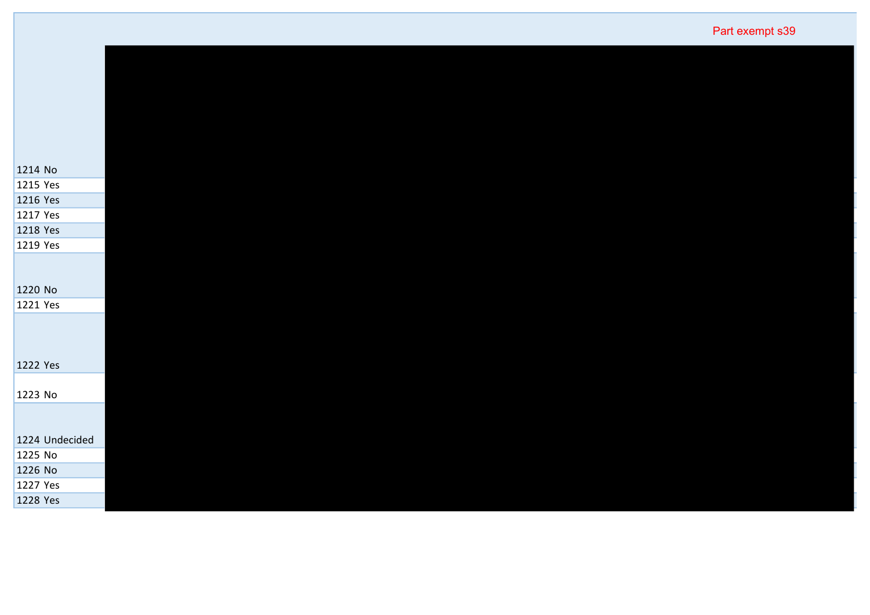| Part exempt s39 |  |
|-----------------|--|
|-----------------|--|

| 1214 No             |
|---------------------|
| 1215 Yes            |
| 1216 Yes            |
| 1217 Yes            |
| 1218 Yes            |
| 1219 Yes            |
|                     |
|                     |
| 1220 No<br>1221 Yes |
|                     |
|                     |
|                     |
| 1222 Yes            |
|                     |
| 1223 No             |
|                     |
| 1224 Undecided      |
| 1225 No             |
| 1226 No             |
| 1227 Yes            |
| 1228 Yes            |
|                     |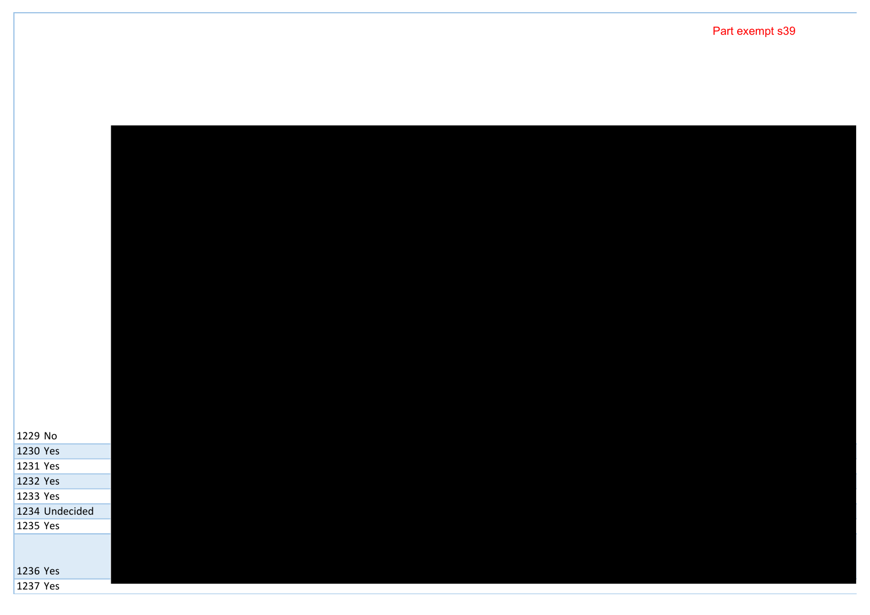Part exempt s39

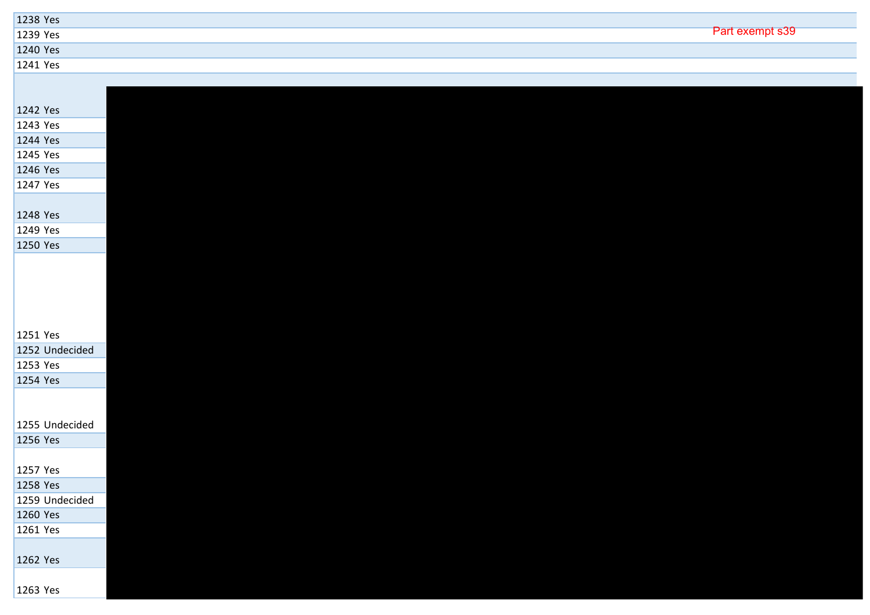| 1238 Yes       |                 |
|----------------|-----------------|
| 1239 Yes       | Part exempt s39 |
| 1240 Yes       |                 |
| 1241 Yes       |                 |
|                |                 |
| 1242 Yes       |                 |
| 1243 Yes       |                 |
| 1244 Yes       |                 |
| 1245 Yes       |                 |
| 1246 Yes       |                 |
| 1247 Yes       |                 |
|                |                 |
| 1248 Yes       |                 |
| 1249 Yes       |                 |
| 1250 Yes       |                 |
|                |                 |
| 1251 Yes       |                 |
| 1252 Undecided |                 |
| 1253 Yes       |                 |
| 1254 Yes       |                 |
|                |                 |
| 1255 Undecided |                 |
| 1256 Yes       |                 |
| 1257 Yes       |                 |
| 1258 Yes       |                 |
| 1259 Undecided |                 |
| 1260 Yes       |                 |
| 1261 Yes       |                 |
| 1262 Yes       |                 |
| 1263 Yes       |                 |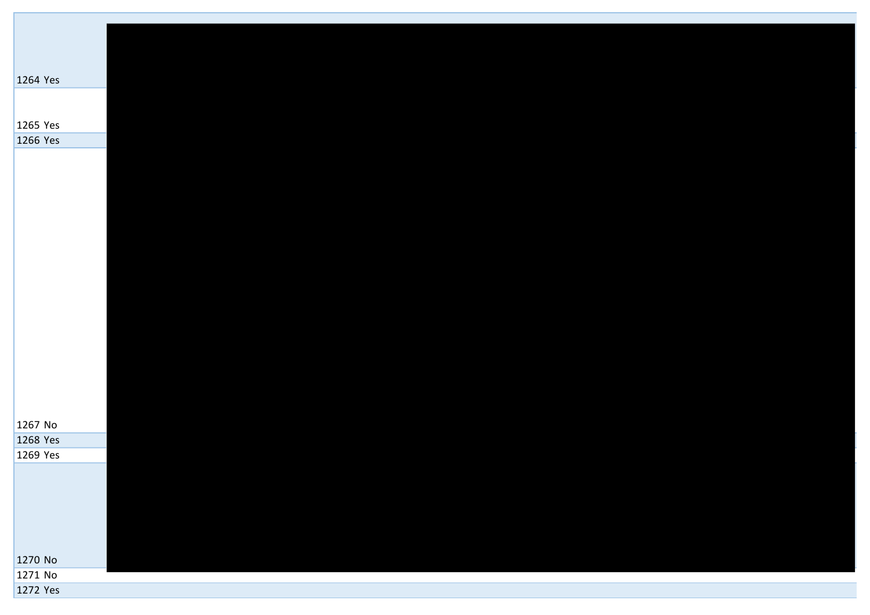| 1264 Yes |  |
|----------|--|
|          |  |
|          |  |
|          |  |
|          |  |
| 1265 Yes |  |
| 1266 Yes |  |
|          |  |
|          |  |
|          |  |
|          |  |
|          |  |
|          |  |
|          |  |
|          |  |
|          |  |
|          |  |
|          |  |
|          |  |
|          |  |
|          |  |
|          |  |
|          |  |
|          |  |
|          |  |
|          |  |
|          |  |
|          |  |
|          |  |
|          |  |
|          |  |
|          |  |
|          |  |
|          |  |
|          |  |
|          |  |
|          |  |
|          |  |
|          |  |
| 1267 No  |  |
| 1268 Yes |  |
|          |  |
| 1269 Yes |  |
|          |  |
|          |  |
|          |  |
|          |  |
|          |  |
|          |  |
|          |  |
|          |  |
|          |  |
|          |  |
|          |  |
| 1270 No  |  |
| 1271 No  |  |
|          |  |
| 1272 Yes |  |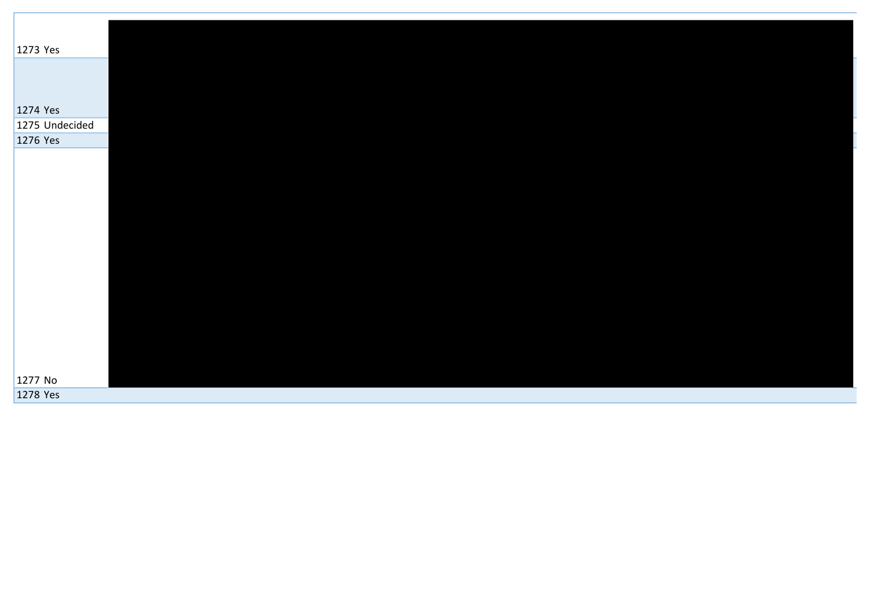| 1273 Yes       |  |  |  |
|----------------|--|--|--|
|                |  |  |  |
|                |  |  |  |
|                |  |  |  |
|                |  |  |  |
| 1274 Yes       |  |  |  |
|                |  |  |  |
| 1275 Undecided |  |  |  |
| 1276 Yes       |  |  |  |
|                |  |  |  |
|                |  |  |  |
|                |  |  |  |
|                |  |  |  |
|                |  |  |  |
|                |  |  |  |
|                |  |  |  |
|                |  |  |  |
|                |  |  |  |
|                |  |  |  |
|                |  |  |  |
|                |  |  |  |
|                |  |  |  |
|                |  |  |  |
|                |  |  |  |
|                |  |  |  |
|                |  |  |  |
|                |  |  |  |
| 1277 No        |  |  |  |
|                |  |  |  |
| 1278 Yes       |  |  |  |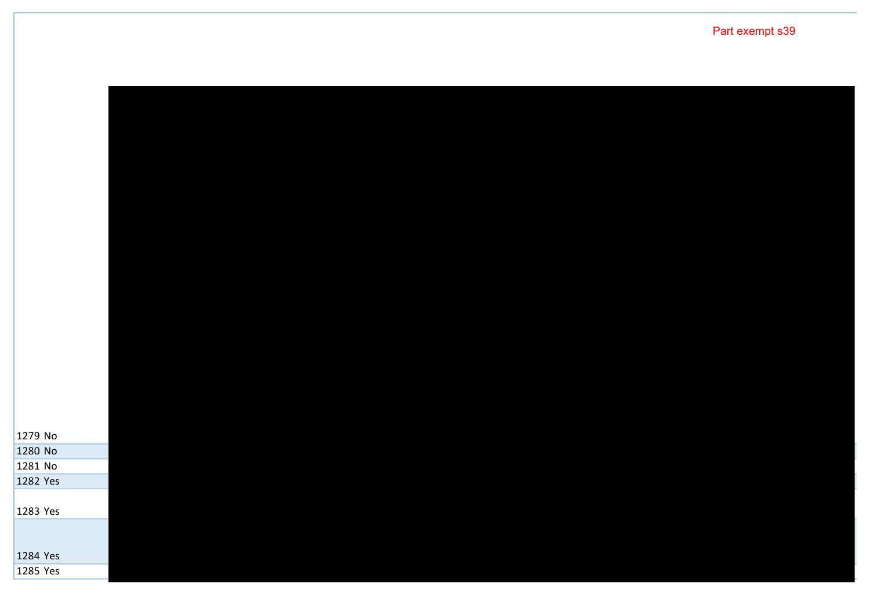No No No Yes

Yes

 Yes Yes

Part exempt s39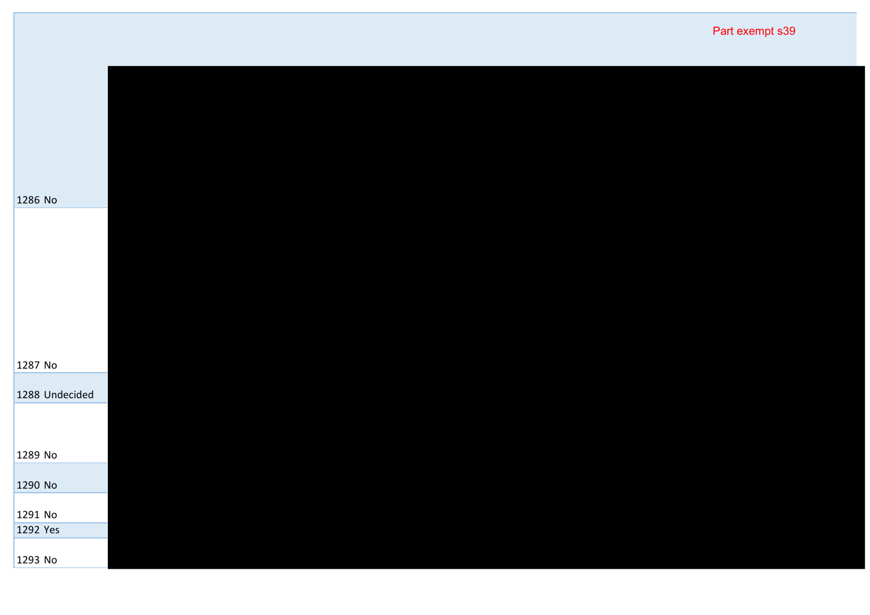|                | Part exempt s39 |
|----------------|-----------------|
|                |                 |
|                |                 |
| 1286 No        |                 |
|                |                 |
|                |                 |
|                |                 |
| 1287 No        |                 |
| 1288 Undecided |                 |
|                |                 |
| 1289 No        |                 |
| 1290 No        |                 |
| 1291 No        |                 |
| 1292 Yes       |                 |
| 1293 No        |                 |